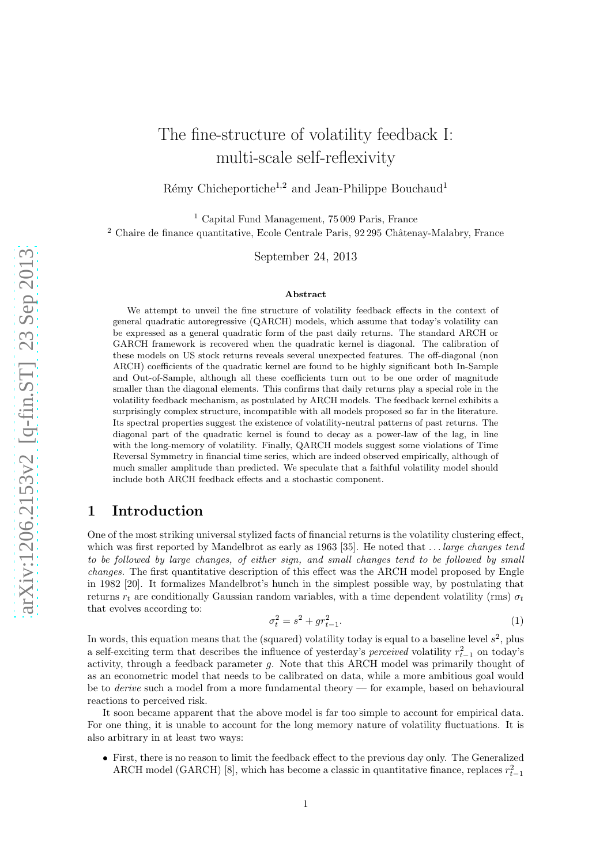# The fine-structure of volatility feedback I: multi-scale self-reflexivity

Rémy Chicheportiche<sup>1,2</sup> and Jean-Philippe Bouchaud<sup>1</sup>

<sup>1</sup> Capital Fund Management, 75 009 Paris, France

 $2$  Chaire de finance quantitative, Ecole Centrale Paris, 92 295 Châtenay-Malabry, France

September 24, 2013

#### Abstract

We attempt to unveil the fine structure of volatility feedback effects in the context of general quadratic autoregressive (QARCH) models, which assume that today's volatility can be expressed as a general quadratic form of the past daily returns. The standard ARCH or GARCH framework is recovered when the quadratic kernel is diagonal. The calibration of these models on US stock returns reveals several unexpected features. The off-diagonal (non ARCH) coefficients of the quadratic kernel are found to be highly significant both In-Sample and Out-of-Sample, although all these coefficients turn out to be one order of magnitude smaller than the diagonal elements. This confirms that daily returns play a special role in the volatility feedback mechanism, as postulated by ARCH models. The feedback kernel exhibits a surprisingly complex structure, incompatible with all models proposed so far in the literature. Its spectral properties suggest the existence of volatility-neutral patterns of past returns. The diagonal part of the quadratic kernel is found to decay as a power-law of the lag, in line with the long-memory of volatility. Finally, QARCH models suggest some violations of Time Reversal Symmetry in financial time series, which are indeed observed empirically, although of much smaller amplitude than predicted. We speculate that a faithful volatility model should include both ARCH feedback effects and a stochastic component.

### 1 Introduction

One of the most striking universal stylized facts of financial returns is the volatility clustering effect, which was first reported by Mandelbrot as early as  $1963$  [35]. He noted that  $\dots$  *large changes tend* to be followed by large changes, of either sign, and small changes tend to be followed by small changes. The first quantitative description of this effect was the ARCH model proposed by Engle in 1982 [20]. It formalizes Mandelbrot's hunch in the simplest possible way, by postulating that returns  $r_t$  are conditionally Gaussian random variables, with a time dependent volatility (rms)  $\sigma_t$ that evolves according to:

$$
\sigma_t^2 = s^2 + gr_{t-1}^2. \tag{1}
$$

In words, this equation means that the (squared) volatility today is equal to a baseline level  $s^2$ , plus a self-exciting term that describes the influence of yesterday's *perceived* volatility  $r_{t-1}^2$  on today's activity, through a feedback parameter  $q$ . Note that this ARCH model was primarily thought of as an econometric model that needs to be calibrated on data, while a more ambitious goal would be to *derive* such a model from a more fundamental theory — for example, based on behavioural reactions to perceived risk.

It soon became apparent that the above model is far too simple to account for empirical data. For one thing, it is unable to account for the long memory nature of volatility fluctuations. It is also arbitrary in at least two ways:

• First, there is no reason to limit the feedback effect to the previous day only. The Generalized ARCH model (GARCH) [8], which has become a classic in quantitative finance, replaces  $r_{t-1}^2$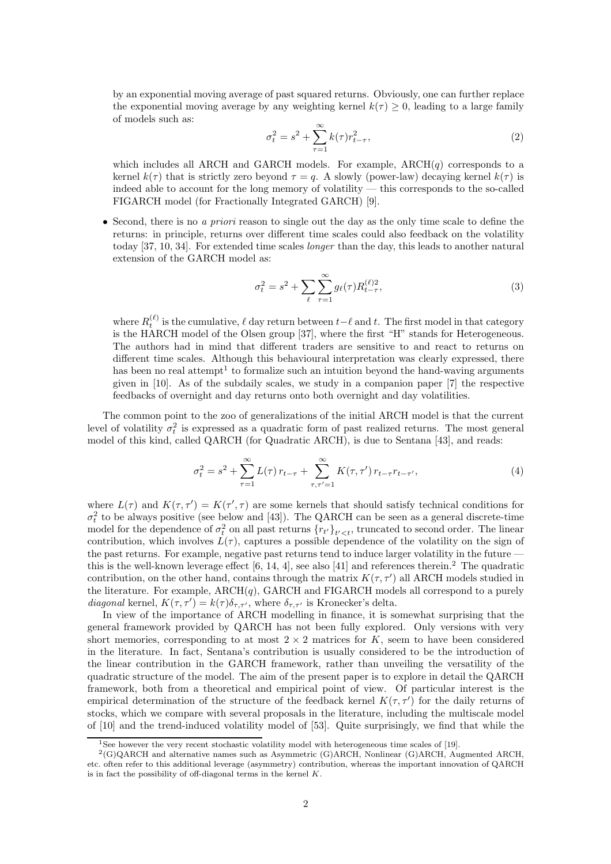by an exponential moving average of past squared returns. Obviously, one can further replace the exponential moving average by any weighting kernel  $k(\tau) \geq 0$ , leading to a large family of models such as:

$$
\sigma_t^2 = s^2 + \sum_{\tau=1}^{\infty} k(\tau) r_{t-\tau}^2,
$$
\n(2)

which includes all ARCH and GARCH models. For example,  $ARCH(q)$  corresponds to a kernel  $k(\tau)$  that is strictly zero beyond  $\tau = q$ . A slowly (power-law) decaying kernel  $k(\tau)$  is indeed able to account for the long memory of volatility — this corresponds to the so-called FIGARCH model (for Fractionally Integrated GARCH) [9].

• Second, there is no a priori reason to single out the day as the only time scale to define the returns: in principle, returns over different time scales could also feedback on the volatility today [37, 10, 34]. For extended time scales longer than the day, this leads to another natural extension of the GARCH model as:

$$
\sigma_t^2 = s^2 + \sum_{\ell} \sum_{\tau=1}^{\infty} g_{\ell}(\tau) R_{t-\tau}^{(\ell)2},
$$
\n(3)

where  $R_t^{(\ell)}$  is the cumulative,  $\ell$  day return between  $t-\ell$  and t. The first model in that category is the HARCH model of the Olsen group [37], where the first "H" stands for Heterogeneous. The authors had in mind that different traders are sensitive to and react to returns on different time scales. Although this behavioural interpretation was clearly expressed, there has been no real attempt<sup>1</sup> to formalize such an intuition beyond the hand-waving arguments given in [10]. As of the subdaily scales, we study in a companion paper [7] the respective feedbacks of overnight and day returns onto both overnight and day volatilities.

The common point to the zoo of generalizations of the initial ARCH model is that the current level of volatility  $\sigma_t^2$  is expressed as a quadratic form of past realized returns. The most general model of this kind, called QARCH (for Quadratic ARCH), is due to Sentana [43], and reads:

$$
\sigma_t^2 = s^2 + \sum_{\tau=1}^{\infty} L(\tau) r_{t-\tau} + \sum_{\tau,\tau'=1}^{\infty} K(\tau,\tau') r_{t-\tau} r_{t-\tau'},
$$
\n(4)

where  $L(\tau)$  and  $K(\tau, \tau') = K(\tau', \tau)$  are some kernels that should satisfy technical conditions for  $\sigma_t^2$  to be always positive (see below and [43]). The QARCH can be seen as a general discrete-time model for the dependence of  $\sigma_t^2$  on all past returns  $\{r_{t'}\}_{t', truncated to second order. The linear$ contribution, which involves  $L(\tau)$ , captures a possible dependence of the volatility on the sign of the past returns. For example, negative past returns tend to induce larger volatility in the future this is the well-known leverage effect  $[6, 14, 4]$ , see also  $[41]$  and references therein.<sup>2</sup> The quadratic contribution, on the other hand, contains through the matrix  $K(\tau, \tau')$  all ARCH models studied in the literature. For example,  $\text{ARCH}(q)$ ,  $\text{GARCH}$  and FIGARCH models all correspond to a purely diagonal kernel,  $K(\tau, \tau') = k(\tau) \delta_{\tau, \tau'}$ , where  $\delta_{\tau, \tau'}$  is Kronecker's delta.

In view of the importance of ARCH modelling in finance, it is somewhat surprising that the general framework provided by QARCH has not been fully explored. Only versions with very short memories, corresponding to at most  $2 \times 2$  matrices for K, seem to have been considered in the literature. In fact, Sentana's contribution is usually considered to be the introduction of the linear contribution in the GARCH framework, rather than unveiling the versatility of the quadratic structure of the model. The aim of the present paper is to explore in detail the QARCH framework, both from a theoretical and empirical point of view. Of particular interest is the empirical determination of the structure of the feedback kernel  $K(\tau, \tau')$  for the daily returns of stocks, which we compare with several proposals in the literature, including the multiscale model of [10] and the trend-induced volatility model of [53]. Quite surprisingly, we find that while the

<sup>1</sup>See however the very recent stochastic volatility model with heterogeneous time scales of [19].

<sup>2</sup> (G)QARCH and alternative names such as Asymmetric (G)ARCH, Nonlinear (G)ARCH, Augmented ARCH, etc. often refer to this additional leverage (asymmetry) contribution, whereas the important innovation of QARCH is in fact the possibility of off-diagonal terms in the kernel  $K$ .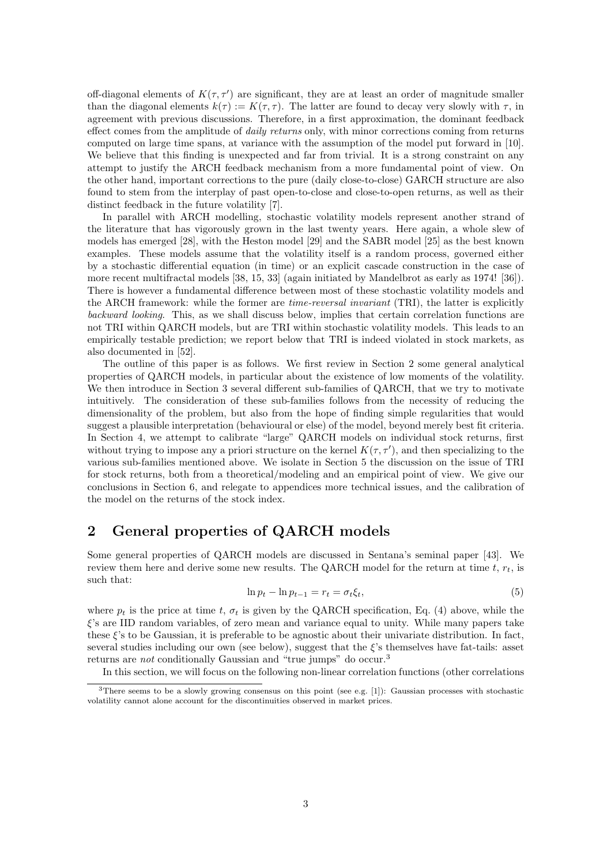off-diagonal elements of  $K(\tau, \tau')$  are significant, they are at least an order of magnitude smaller than the diagonal elements  $k(\tau) := K(\tau, \tau)$ . The latter are found to decay very slowly with  $\tau$ , in agreement with previous discussions. Therefore, in a first approximation, the dominant feedback effect comes from the amplitude of *daily returns* only, with minor corrections coming from returns computed on large time spans, at variance with the assumption of the model put forward in [10]. We believe that this finding is unexpected and far from trivial. It is a strong constraint on any attempt to justify the ARCH feedback mechanism from a more fundamental point of view. On the other hand, important corrections to the pure (daily close-to-close) GARCH structure are also found to stem from the interplay of past open-to-close and close-to-open returns, as well as their distinct feedback in the future volatility [7].

In parallel with ARCH modelling, stochastic volatility models represent another strand of the literature that has vigorously grown in the last twenty years. Here again, a whole slew of models has emerged [28], with the Heston model [29] and the SABR model [25] as the best known examples. These models assume that the volatility itself is a random process, governed either by a stochastic differential equation (in time) or an explicit cascade construction in the case of more recent multifractal models [38, 15, 33] (again initiated by Mandelbrot as early as 1974! [36]). There is however a fundamental difference between most of these stochastic volatility models and the ARCH framework: while the former are *time-reversal invariant* (TRI), the latter is explicitly backward looking. This, as we shall discuss below, implies that certain correlation functions are not TRI within QARCH models, but are TRI within stochastic volatility models. This leads to an empirically testable prediction; we report below that TRI is indeed violated in stock markets, as also documented in [52].

The outline of this paper is as follows. We first review in Section 2 some general analytical properties of QARCH models, in particular about the existence of low moments of the volatility. We then introduce in Section 3 several different sub-families of QARCH, that we try to motivate intuitively. The consideration of these sub-families follows from the necessity of reducing the dimensionality of the problem, but also from the hope of finding simple regularities that would suggest a plausible interpretation (behavioural or else) of the model, beyond merely best fit criteria. In Section 4, we attempt to calibrate "large" QARCH models on individual stock returns, first without trying to impose any a priori structure on the kernel  $K(\tau, \tau')$ , and then specializing to the various sub-families mentioned above. We isolate in Section 5 the discussion on the issue of TRI for stock returns, both from a theoretical/modeling and an empirical point of view. We give our conclusions in Section 6, and relegate to appendices more technical issues, and the calibration of the model on the returns of the stock index.

### 2 General properties of QARCH models

Some general properties of QARCH models are discussed in Sentana's seminal paper [43]. We review them here and derive some new results. The QARCH model for the return at time t,  $r_t$ , is such that:

$$
\ln p_t - \ln p_{t-1} = r_t = \sigma_t \xi_t,\tag{5}
$$

where  $p_t$  is the price at time t,  $\sigma_t$  is given by the QARCH specification, Eq. (4) above, while the  $\xi$ 's are IID random variables, of zero mean and variance equal to unity. While many papers take these ξ's to be Gaussian, it is preferable to be agnostic about their univariate distribution. In fact, several studies including our own (see below), suggest that the  $\xi$ 's themselves have fat-tails: asset returns are *not* conditionally Gaussian and "true jumps" do occur.<sup>3</sup>

In this section, we will focus on the following non-linear correlation functions (other correlations

<sup>3</sup>There seems to be a slowly growing consensus on this point (see e.g. [1]): Gaussian processes with stochastic volatility cannot alone account for the discontinuities observed in market prices.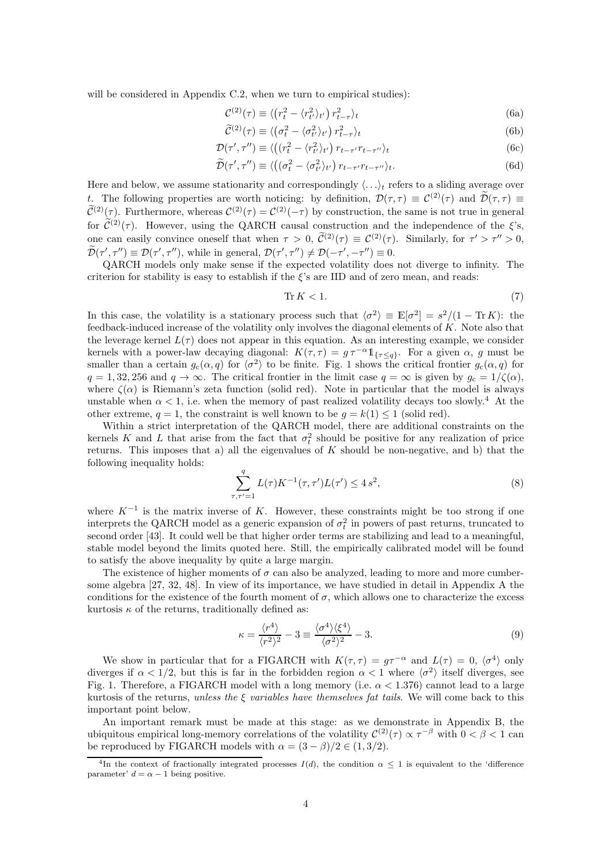will be considered in Appendix C.2, when we turn to empirical studies):

$$
\mathcal{C}^{(2)}(\tau) \equiv \langle \left( r_t^2 - \langle r_{t'}^2 \rangle_{t'} \right) r_{t-\tau}^2 \rangle_t \tag{6a}
$$

$$
\widetilde{\mathcal{C}}^{(2)}(\tau) \equiv \langle \left(\sigma_t^2 - \langle \sigma_{t'}^2 \rangle_{t'}\right) r_{t-\tau}^2 \rangle_t \tag{6b}
$$

$$
\mathcal{D}(\tau', \tau'') \equiv \langle \left( (r_t^2 - \langle r_{t'}^2 \rangle_{t'}) \, r_{t-\tau'} r_{t-\tau''} \rangle_t \right) \tag{6c}
$$

$$
\widetilde{\mathcal{D}}(\tau', \tau'') \equiv \langle \left( (\sigma_t^2 - \langle \sigma_{t'}^2 \rangle_{t'}) \, r_{t-\tau'} r_{t-\tau''} \rangle_t. \right) \tag{6d}
$$

Here and below, we assume stationarity and correspondingly  $\langle \ldots \rangle_t$  refers to a sliding average over t. The following properties are worth noticing: by definition,  $\mathcal{D}(\tau,\tau) \equiv \mathcal{C}^{(2)}(\tau)$  and  $\widetilde{\mathcal{D}}(\tau,\tau) \equiv$  $\widetilde{\mathcal{C}}^{(2)}(\tau)$ . Furthermore, whereas  $\mathcal{C}^{(2)}(\tau) = \mathcal{C}^{(2)}(-\tau)$  by construction, the same is not true in general for  $\tilde{C}^{(2)}(\tau)$ . However, using the QARCH causal construction and the independence of the  $\xi$ 's, one can easily convince oneself that when  $\tau > 0$ ,  $\tilde{\mathcal{C}}^{(2)}(\tau) \equiv \mathcal{C}^{(2)}(\tau)$ . Similarly, for  $\tau' > \tau'' > 0$ ,  $\mathcal{D}(\tau', \tau'') \equiv \mathcal{D}(\tau', \tau'')$ , while in general,  $\mathcal{D}(\tau', \tau'') \neq \mathcal{D}(-\tau', -\tau'') \equiv 0$ .

QARCH models only make sense if the expected volatility does not diverge to infinity. The criterion for stability is easy to establish if the  $\xi$ 's are IID and of zero mean, and reads:

$$
\text{Tr}\,K < 1.\tag{7}
$$

In this case, the volatility is a stationary process such that  $\langle \sigma^2 \rangle \equiv \mathbb{E}[\sigma^2] = s^2/(1 - \text{Tr} K)$ : the feedback-induced increase of the volatility only involves the diagonal elements of  $K$ . Note also that the leverage kernel  $L(\tau)$  does not appear in this equation. As an interesting example, we consider kernels with a power-law decaying diagonal:  $K(\tau, \tau) = g \tau^{-\alpha} \mathbb{1}_{\{\tau \leq q\}}$ . For a given  $\alpha$ , g must be smaller than a certain  $g_c(\alpha, q)$  for  $\langle \sigma^2 \rangle$  to be finite. Fig. 1 shows the critical frontier  $g_c(\alpha, q)$  for  $q = 1, 32, 256$  and  $q \to \infty$ . The critical frontier in the limit case  $q = \infty$  is given by  $q_c = 1/\zeta(\alpha)$ , where  $\zeta(\alpha)$  is Riemann's zeta function (solid red). Note in particular that the model is always unstable when  $\alpha < 1$ , i.e. when the memory of past realized volatility decays too slowly.<sup>4</sup> At the other extreme,  $q = 1$ , the constraint is well known to be  $q = k(1) \le 1$  (solid red).

Within a strict interpretation of the QARCH model, there are additional constraints on the kernels K and L that arise from the fact that  $\sigma_t^2$  should be positive for any realization of price returns. This imposes that a) all the eigenvalues of  $K$  should be non-negative, and b) that the following inequality holds:

$$
\sum_{\tau,\tau'=1}^{q} L(\tau)K^{-1}(\tau,\tau')L(\tau') \le 4s^2,
$$
\n(8)

where  $K^{-1}$  is the matrix inverse of K. However, these constraints might be too strong if one interprets the QARCH model as a generic expansion of  $\sigma_t^2$  in powers of past returns, truncated to second order [43]. It could well be that higher order terms are stabilizing and lead to a meaningful, stable model beyond the limits quoted here. Still, the empirically calibrated model will be found to satisfy the above inequality by quite a large margin.

The existence of higher moments of  $\sigma$  can also be analyzed, leading to more and more cumbersome algebra [27, 32, 48]. In view of its importance, we have studied in detail in Appendix A the conditions for the existence of the fourth moment of  $\sigma$ , which allows one to characterize the excess kurtosis  $\kappa$  of the returns, traditionally defined as:

$$
\kappa = \frac{\langle r^4 \rangle}{\langle r^2 \rangle^2} - 3 \equiv \frac{\langle \sigma^4 \rangle \langle \xi^4 \rangle}{\langle \sigma^2 \rangle^2} - 3. \tag{9}
$$

We show in particular that for a FIGARCH with  $K(\tau, \tau) = g\tau^{-\alpha}$  and  $L(\tau) = 0$ ,  $\langle \sigma^4 \rangle$  only diverges if  $\alpha < 1/2$ , but this is far in the forbidden region  $\alpha < 1$  where  $\langle \sigma^2 \rangle$  itself diverges, see Fig. 1. Therefore, a FIGARCH model with a long memory (i.e.  $\alpha < 1.376$ ) cannot lead to a large kurtosis of the returns, unless the  $\xi$  variables have themselves fat tails. We will come back to this important point below.

An important remark must be made at this stage: as we demonstrate in Appendix B, the ubiquitous empirical long-memory correlations of the volatility  $C^{(2)}(\tau) \propto \tau^{-\beta}$  with  $0 < \beta < 1$  can be reproduced by FIGARCH models with  $\alpha = (3 - \beta)/2 \in (1, 3/2)$ .

<sup>&</sup>lt;sup>4</sup>In the context of fractionally integrated processes  $I(d)$ , the condition  $\alpha \leq 1$  is equivalent to the 'difference parameter'  $d = \alpha - 1$  being positive.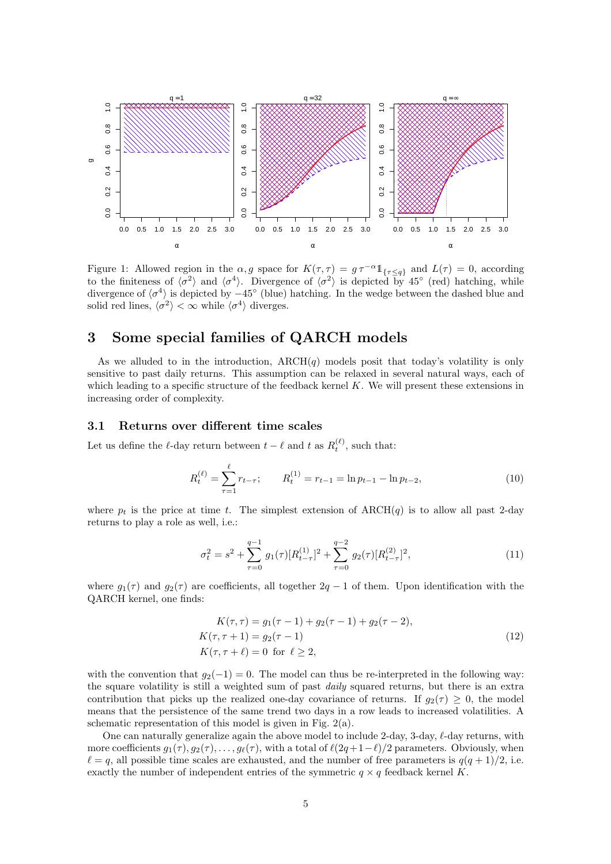

Figure 1: Allowed region in the  $\alpha, g$  space for  $K(\tau, \tau) = g \tau^{-\alpha} \mathbb{1}_{\{\tau \leq q\}}$  and  $L(\tau) = 0$ , according to the finiteness of  $\langle \sigma^2 \rangle$  and  $\langle \sigma^4 \rangle$ . Divergence of  $\langle \sigma^2 \rangle$  is depicted by 45° (red) hatching, while divergence of  $\langle \sigma^4 \rangle$  is depicted by  $-45^\circ$  (blue) hatching. In the wedge between the dashed blue and solid red lines,  $\langle \sigma^2 \rangle < \infty$  while  $\langle \sigma^4 \rangle$  diverges.

## 3 Some special families of QARCH models

As we alluded to in the introduction,  $\text{ARCH}(q)$  models posit that today's volatility is only sensitive to past daily returns. This assumption can be relaxed in several natural ways, each of which leading to a specific structure of the feedback kernel  $K$ . We will present these extensions in increasing order of complexity.

#### 3.1 Returns over different time scales

Let us define the  $\ell$ -day return between  $t - \ell$  and t as  $R_t^{(\ell)}$ , such that:

$$
R_t^{(\ell)} = \sum_{\tau=1}^{\ell} r_{t-\tau}; \qquad R_t^{(1)} = r_{t-1} = \ln p_{t-1} - \ln p_{t-2}, \tag{10}
$$

where  $p_t$  is the price at time t. The simplest extension of  $\text{ARCH}(q)$  is to allow all past 2-day returns to play a role as well, i.e.:

$$
\sigma_t^2 = s^2 + \sum_{\tau=0}^{q-1} g_1(\tau) [R_{t-\tau}^{(1)}]^2 + \sum_{\tau=0}^{q-2} g_2(\tau) [R_{t-\tau}^{(2)}]^2, \tag{11}
$$

where  $g_1(\tau)$  and  $g_2(\tau)$  are coefficients, all together  $2q-1$  of them. Upon identification with the QARCH kernel, one finds:

$$
K(\tau, \tau) = g_1(\tau - 1) + g_2(\tau - 1) + g_2(\tau - 2),
$$
  
\n
$$
K(\tau, \tau + 1) = g_2(\tau - 1)
$$
  
\n
$$
K(\tau, \tau + \ell) = 0 \text{ for } \ell \ge 2,
$$
\n(12)

with the convention that  $g_2(-1) = 0$ . The model can thus be re-interpreted in the following way: the square volatility is still a weighted sum of past *daily* squared returns, but there is an extra contribution that picks up the realized one-day covariance of returns. If  $g_2(\tau) \geq 0$ , the model means that the persistence of the same trend two days in a row leads to increased volatilities. A schematic representation of this model is given in Fig. 2(a).

One can naturally generalize again the above model to include 2-day,  $3$ -day,  $\ell$ -day returns, with more coefficients  $g_1(\tau), g_2(\tau), \ldots, g_\ell(\tau)$ , with a total of  $\ell(2q+1-\ell)/2$  parameters. Obviously, when  $\ell = q$ , all possible time scales are exhausted, and the number of free parameters is  $q(q + 1)/2$ , i.e. exactly the number of independent entries of the symmetric  $q \times q$  feedback kernel K.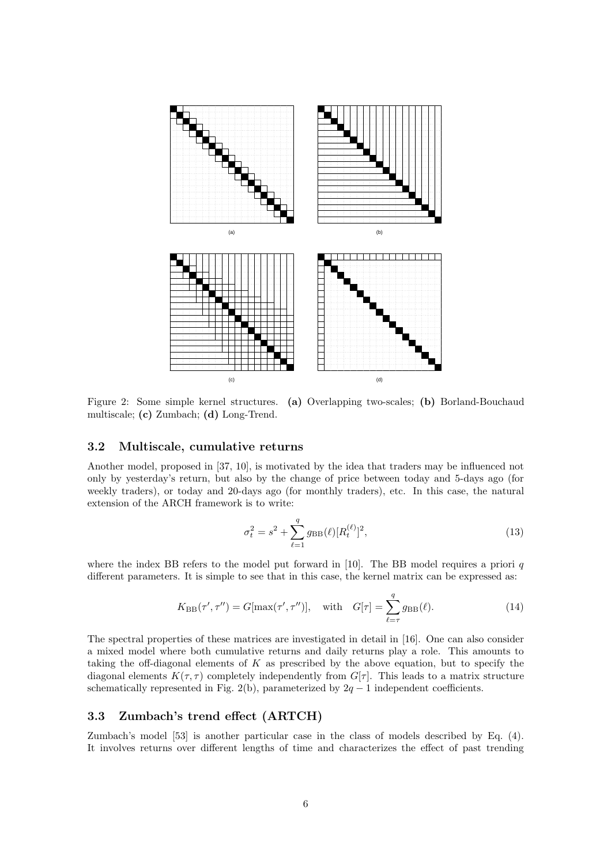

Figure 2: Some simple kernel structures. (a) Overlapping two-scales; (b) Borland-Bouchaud multiscale; (c) Zumbach; (d) Long-Trend.

#### 3.2 Multiscale, cumulative returns

Another model, proposed in [37, 10], is motivated by the idea that traders may be influenced not only by yesterday's return, but also by the change of price between today and 5-days ago (for weekly traders), or today and 20-days ago (for monthly traders), etc. In this case, the natural extension of the ARCH framework is to write:

$$
\sigma_t^2 = s^2 + \sum_{\ell=1}^q g_{\text{BB}}(\ell) [R_t^{(\ell)}]^2,\tag{13}
$$

where the index BB refers to the model put forward in [10]. The BB model requires a priori  $q$ different parameters. It is simple to see that in this case, the kernel matrix can be expressed as:

$$
K_{\text{BB}}(\tau', \tau'') = G[\max(\tau', \tau'')], \quad \text{with} \quad G[\tau] = \sum_{\ell=\tau}^{q} g_{\text{BB}}(\ell). \tag{14}
$$

The spectral properties of these matrices are investigated in detail in [16]. One can also consider a mixed model where both cumulative returns and daily returns play a role. This amounts to taking the off-diagonal elements of  $K$  as prescribed by the above equation, but to specify the diagonal elements  $K(\tau, \tau)$  completely independently from  $G[\tau]$ . This leads to a matrix structure schematically represented in Fig. 2(b), parameterized by  $2q - 1$  independent coefficients.

#### 3.3 Zumbach's trend effect (ARTCH)

Zumbach's model [53] is another particular case in the class of models described by Eq. (4). It involves returns over different lengths of time and characterizes the effect of past trending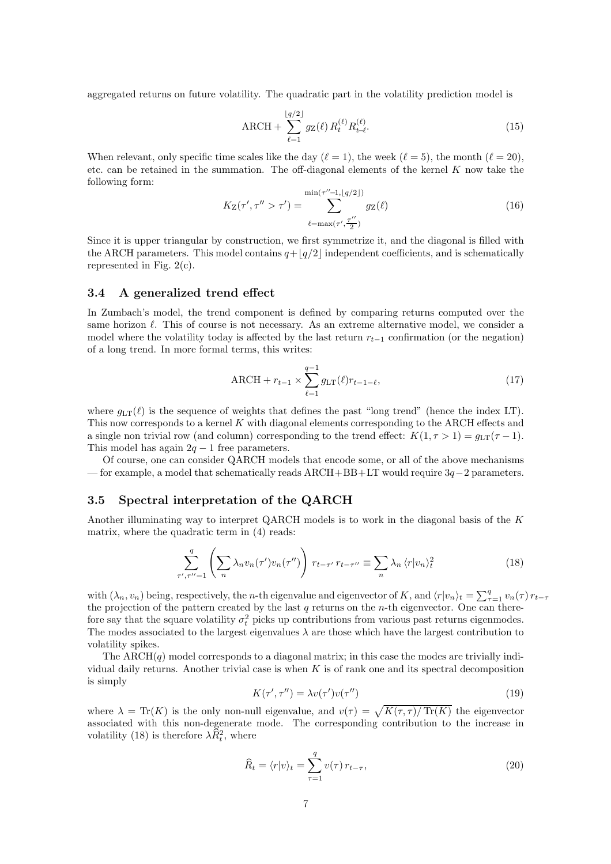aggregated returns on future volatility. The quadratic part in the volatility prediction model is

$$
ARCH + \sum_{\ell=1}^{\lfloor q/2 \rfloor} g_Z(\ell) R_t^{(\ell)} R_{t-\ell}^{(\ell)}.
$$
 (15)

When relevant, only specific time scales like the day ( $\ell = 1$ ), the week ( $\ell = 5$ ), the month ( $\ell = 20$ ), etc. can be retained in the summation. The off-diagonal elements of the kernel  $K$  now take the following form:

$$
K_{\mathcal{Z}}(\tau', \tau'' > \tau') = \sum_{\ell = \max(\tau', \frac{\tau''}{2})}^{\min(\tau'' - 1, \lfloor q/2 \rfloor)} g_{\mathcal{Z}}(\ell)
$$
(16)

Since it is upper triangular by construction, we first symmetrize it, and the diagonal is filled with the ARCH parameters. This model contains  $q+|q/2|$  independent coefficients, and is schematically represented in Fig.  $2(c)$ .

#### 3.4 A generalized trend effect

In Zumbach's model, the trend component is defined by comparing returns computed over the same horizon  $\ell$ . This of course is not necessary. As an extreme alternative model, we consider a model where the volatility today is affected by the last return  $r_{t-1}$  confirmation (or the negation) of a long trend. In more formal terms, this writes:

$$
ARCH + r_{t-1} \times \sum_{\ell=1}^{q-1} g_{LT}(\ell) r_{t-1-\ell},
$$
\n(17)

where  $q_{LT}(\ell)$  is the sequence of weights that defines the past "long trend" (hence the index LT). This now corresponds to a kernel  $K$  with diagonal elements corresponding to the ARCH effects and a single non trivial row (and column) corresponding to the trend effect:  $K(1, \tau > 1) = g_{LT}(\tau - 1)$ . This model has again  $2q - 1$  free parameters.

Of course, one can consider QARCH models that encode some, or all of the above mechanisms — for example, a model that schematically reads ARCH+BB+LT would require  $3q-2$  parameters.

#### 3.5 Spectral interpretation of the QARCH

Another illuminating way to interpret QARCH models is to work in the diagonal basis of the K matrix, where the quadratic term in (4) reads:

$$
\sum_{\tau',\tau''=1}^{q} \left(\sum_{n} \lambda_n v_n(\tau') v_n(\tau'')\right) r_{t-\tau'} r_{t-\tau''} \equiv \sum_{n} \lambda_n \langle r | v_n \rangle_t^2 \tag{18}
$$

with  $(\lambda_n, v_n)$  being, respectively, the *n*-th eigenvalue and eigenvector of K, and  $\langle r | v_n \rangle_t = \sum_{\tau=1}^q v_n(\tau) r_{t-\tau}$ the projection of the pattern created by the last  $q$  returns on the  $n$ -th eigenvector. One can therefore say that the square volatility  $\sigma_t^2$  picks up contributions from various past returns eigenmodes. The modes associated to the largest eigenvalues  $\lambda$  are those which have the largest contribution to volatility spikes.

The  $\text{ARCH}(q)$  model corresponds to a diagonal matrix; in this case the modes are trivially individual daily returns. Another trivial case is when  $K$  is of rank one and its spectral decomposition is simply

$$
K(\tau', \tau'') = \lambda v(\tau')v(\tau'')
$$
\n(19)

where  $\lambda = \text{Tr}(K)$  is the only non-null eigenvalue, and  $v(\tau) = \sqrt{K(\tau, \tau)/\text{Tr}(K)}$  the eigenvector associated with this non-degenerate mode. The corresponding contribution to the increase in volatility (18) is therefore  $\lambda \hat{R}_t^2$ , where

$$
\widehat{R}_t = \langle r|v\rangle_t = \sum_{\tau=1}^q v(\tau) r_{t-\tau},\tag{20}
$$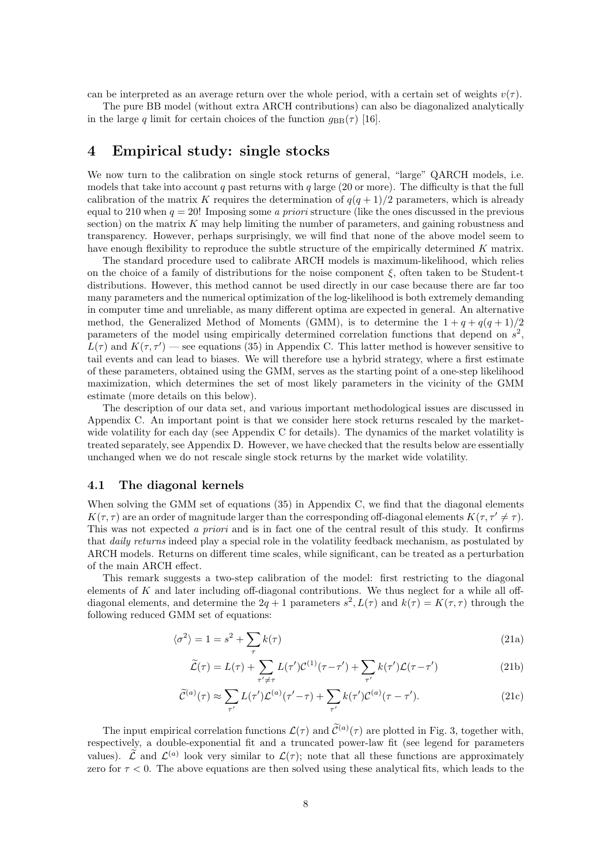can be interpreted as an average return over the whole period, with a certain set of weights  $v(\tau)$ .

The pure BB model (without extra ARCH contributions) can also be diagonalized analytically in the large q limit for certain choices of the function  $g_{\text{BB}}(\tau)$  [16].

### 4 Empirical study: single stocks

We now turn to the calibration on single stock returns of general, "large" QARCH models, i.e. models that take into account q past returns with  $q$  large (20 or more). The difficulty is that the full calibration of the matrix K requires the determination of  $q(q+1)/2$  parameters, which is already equal to 210 when  $q = 20$ ! Imposing some *a priori* structure (like the ones discussed in the previous section) on the matrix  $K$  may help limiting the number of parameters, and gaining robustness and transparency. However, perhaps surprisingly, we will find that none of the above model seem to have enough flexibility to reproduce the subtle structure of the empirically determined K matrix.

The standard procedure used to calibrate ARCH models is maximum-likelihood, which relies on the choice of a family of distributions for the noise component  $\xi$ , often taken to be Student-t distributions. However, this method cannot be used directly in our case because there are far too many parameters and the numerical optimization of the log-likelihood is both extremely demanding in computer time and unreliable, as many different optima are expected in general. An alternative method, the Generalized Method of Moments (GMM), is to determine the  $1 + q + q(q+1)/2$ parameters of the model using empirically determined correlation functions that depend on  $s^2$ ,  $L(\tau)$  and  $K(\tau, \tau')$  — see equations (35) in Appendix C. This latter method is however sensitive to tail events and can lead to biases. We will therefore use a hybrid strategy, where a first estimate of these parameters, obtained using the GMM, serves as the starting point of a one-step likelihood maximization, which determines the set of most likely parameters in the vicinity of the GMM estimate (more details on this below).

The description of our data set, and various important methodological issues are discussed in Appendix C. An important point is that we consider here stock returns rescaled by the marketwide volatility for each day (see Appendix C for details). The dynamics of the market volatility is treated separately, see Appendix D. However, we have checked that the results below are essentially unchanged when we do not rescale single stock returns by the market wide volatility.

#### 4.1 The diagonal kernels

When solving the GMM set of equations (35) in Appendix C, we find that the diagonal elements  $K(\tau, \tau)$  are an order of magnitude larger than the corresponding off-diagonal elements  $K(\tau, \tau' \neq \tau)$ . This was not expected a priori and is in fact one of the central result of this study. It confirms that *daily returns* indeed play a special role in the volatility feedback mechanism, as postulated by ARCH models. Returns on different time scales, while significant, can be treated as a perturbation of the main ARCH effect.

This remark suggests a two-step calibration of the model: first restricting to the diagonal elements of  $K$  and later including off-diagonal contributions. We thus neglect for a while all offdiagonal elements, and determine the  $2q + 1$  parameters  $s^2$ ,  $L(\tau)$  and  $k(\tau) = K(\tau, \tau)$  through the following reduced GMM set of equations:

$$
\langle \sigma^2 \rangle = 1 = s^2 + \sum_{\tau} k(\tau) \tag{21a}
$$

$$
\widetilde{\mathcal{L}}(\tau) = L(\tau) + \sum_{\tau' \neq \tau} L(\tau') \mathcal{C}^{(1)}(\tau - \tau') + \sum_{\tau'} k(\tau') \mathcal{L}(\tau - \tau')
$$
\n(21b)

$$
\widetilde{\mathcal{C}}^{(a)}(\tau) \approx \sum_{\tau'} L(\tau') \mathcal{L}^{(a)}(\tau' - \tau) + \sum_{\tau'} k(\tau') \mathcal{C}^{(a)}(\tau - \tau'). \tag{21c}
$$

The input empirical correlation functions  $\mathcal{L}(\tau)$  and  $\mathcal{C}^{(a)}(\tau)$  are plotted in Fig. 3, together with, respectively, a double-exponential fit and a truncated power-law fit (see legend for parameters values).  $\hat{\mathcal{L}}$  and  $\mathcal{L}^{(a)}$  look very similar to  $\mathcal{L}(\tau)$ ; note that all these functions are approximately zero for  $\tau < 0$ . The above equations are then solved using these analytical fits, which leads to the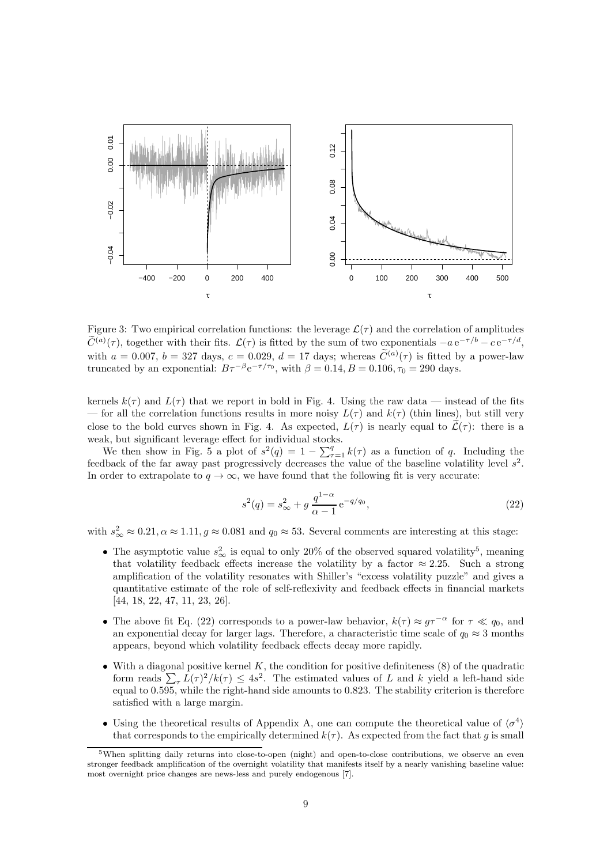

Figure 3: Two empirical correlation functions: the leverage  $\mathcal{L}(\tau)$  and the correlation of amplitudes  $\widetilde{C}^{(a)}(\tau)$ , together with their fits.  $\mathcal{L}(\tau)$  is fitted by the sum of two exponentials  $-a e^{-\tau/b} - c e^{-\tau/d}$ , with  $a = 0.007$ ,  $b = 327$  days,  $c = 0.029$ ,  $d = 17$  days; whereas  $C^{(a)}(\tau)$  is fitted by a power-law truncated by an exponential:  $B\tau^{-\beta}e^{-\tau/\tau_0}$ , with  $\beta = 0.14, B = 0.106, \tau_0 = 290$  days.

kernels  $k(\tau)$  and  $L(\tau)$  that we report in bold in Fig. 4. Using the raw data — instead of the fits — for all the correlation functions results in more noisy  $L(\tau)$  and  $k(\tau)$  (thin lines), but still very close to the bold curves shown in Fig. 4. As expected,  $L(\tau)$  is nearly equal to  $\tilde{L}(\tau)$ : there is a weak, but significant leverage effect for individual stocks.

We then show in Fig. 5 a plot of  $s^2(q) = 1 - \sum_{\tau=1}^q k(\tau)$  as a function of q. Including the feedback of the far away past progressively decreases the value of the baseline volatility level  $s^2$ . In order to extrapolate to  $q \to \infty$ , we have found that the following fit is very accurate:

$$
s^{2}(q) = s_{\infty}^{2} + g \frac{q^{1-\alpha}}{\alpha - 1} e^{-q/q_{0}},
$$
\n(22)

with  $s_{\infty}^2 \approx 0.21, \alpha \approx 1.11, g \approx 0.081$  and  $q_0 \approx 53$ . Several comments are interesting at this stage:

- The asymptotic value  $s_{\infty}^2$  is equal to only 20% of the observed squared volatility<sup>5</sup>, meaning that volatility feedback effects increase the volatility by a factor  $\approx 2.25$ . Such a strong amplification of the volatility resonates with Shiller's "excess volatility puzzle" and gives a quantitative estimate of the role of self-reflexivity and feedback effects in financial markets [44, 18, 22, 47, 11, 23, 26].
- The above fit Eq. (22) corresponds to a power-law behavior,  $k(\tau) \approx g\tau^{-\alpha}$  for  $\tau \ll q_0$ , and an exponential decay for larger lags. Therefore, a characteristic time scale of  $q_0 \approx 3$  months appears, beyond which volatility feedback effects decay more rapidly.
- With a diagonal positive kernel  $K$ , the condition for positive definiteness  $(8)$  of the quadratic form reads  $\sum_{\tau} L(\tau)^2 / k(\tau) \leq 4s^2$ . The estimated values of L and k yield a left-hand side equal to 0.595, while the right-hand side amounts to 0.823. The stability criterion is therefore satisfied with a large margin.
- Using the theoretical results of Appendix A, one can compute the theoretical value of  $\langle \sigma^4 \rangle$ that corresponds to the empirically determined  $k(\tau)$ . As expected from the fact that q is small

<sup>&</sup>lt;sup>5</sup>When splitting daily returns into close-to-open (night) and open-to-close contributions, we observe an even stronger feedback amplification of the overnight volatility that manifests itself by a nearly vanishing baseline value: most overnight price changes are news-less and purely endogenous [7].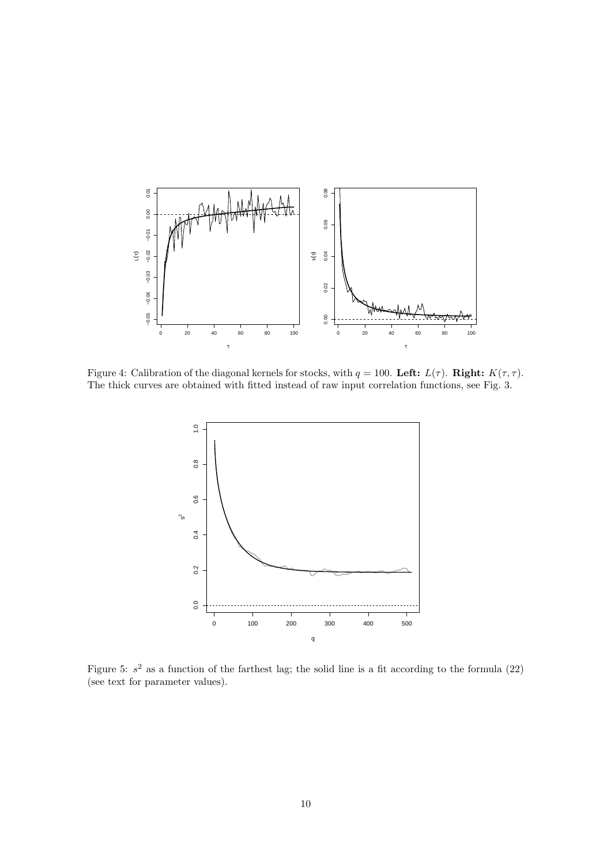

Figure 4: Calibration of the diagonal kernels for stocks, with  $q = 100$ . Left:  $L(\tau)$ . Right:  $K(\tau, \tau)$ . The thick curves are obtained with fitted instead of raw input correlation functions, see Fig. 3.



Figure 5:  $s^2$  as a function of the farthest lag; the solid line is a fit according to the formula (22) (see text for parameter values).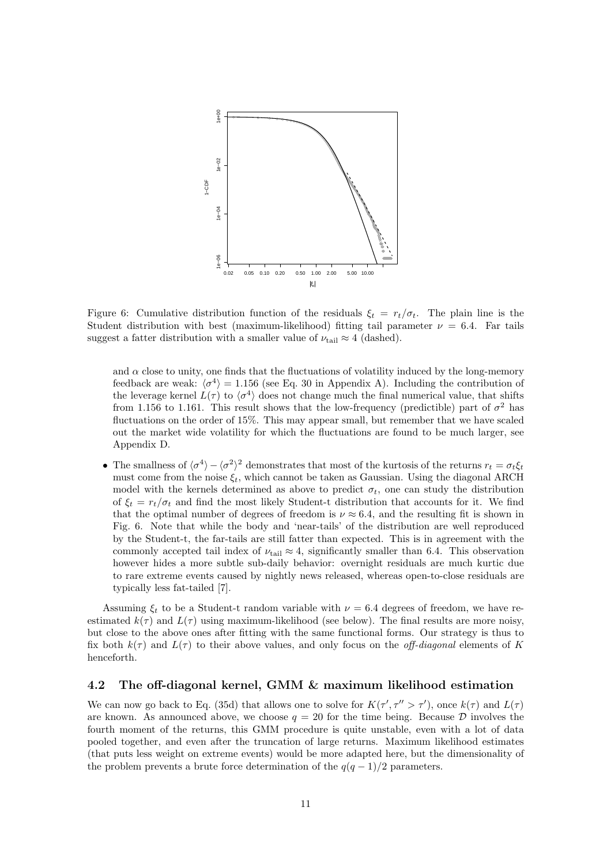

Figure 6: Cumulative distribution function of the residuals  $\xi_t = r_t/\sigma_t$ . The plain line is the Student distribution with best (maximum-likelihood) fitting tail parameter  $\nu = 6.4$ . Far tails suggest a fatter distribution with a smaller value of  $\nu_{tail} \approx 4$  (dashed).

and  $\alpha$  close to unity, one finds that the fluctuations of volatility induced by the long-memory feedback are weak:  $\langle \sigma^4 \rangle = 1.156$  (see Eq. 30 in Appendix A). Including the contribution of the leverage kernel  $L(\tau)$  to  $\langle \sigma^4 \rangle$  does not change much the final numerical value, that shifts from 1.156 to 1.161. This result shows that the low-frequency (predictible) part of  $\sigma^2$  has fluctuations on the order of 15%. This may appear small, but remember that we have scaled out the market wide volatility for which the fluctuations are found to be much larger, see Appendix D.

• The smallness of  $\langle \sigma^4 \rangle - \langle \sigma^2 \rangle^2$  demonstrates that most of the kurtosis of the returns  $r_t = \sigma_t \xi_t$ must come from the noise  $\xi_t$ , which cannot be taken as Gaussian. Using the diagonal ARCH model with the kernels determined as above to predict  $\sigma_t$ , one can study the distribution of  $\xi_t = r_t/\sigma_t$  and find the most likely Student-t distribution that accounts for it. We find that the optimal number of degrees of freedom is  $\nu \approx 6.4$ , and the resulting fit is shown in Fig. 6. Note that while the body and 'near-tails' of the distribution are well reproduced by the Student-t, the far-tails are still fatter than expected. This is in agreement with the commonly accepted tail index of  $\nu_{\text{tail}} \approx 4$ , significantly smaller than 6.4. This observation however hides a more subtle sub-daily behavior: overnight residuals are much kurtic due to rare extreme events caused by nightly news released, whereas open-to-close residuals are typically less fat-tailed [7].

Assuming  $\xi_t$  to be a Student-t random variable with  $\nu = 6.4$  degrees of freedom, we have reestimated  $k(\tau)$  and  $L(\tau)$  using maximum-likelihood (see below). The final results are more noisy, but close to the above ones after fitting with the same functional forms. Our strategy is thus to fix both  $k(\tau)$  and  $L(\tau)$  to their above values, and only focus on the *off-diagonal* elements of K henceforth.

#### 4.2 The off-diagonal kernel, GMM & maximum likelihood estimation

We can now go back to Eq. (35d) that allows one to solve for  $K(\tau', \tau'' > \tau')$ , once  $k(\tau)$  and  $L(\tau)$ are known. As announced above, we choose  $q = 20$  for the time being. Because  $\mathcal D$  involves the fourth moment of the returns, this GMM procedure is quite unstable, even with a lot of data pooled together, and even after the truncation of large returns. Maximum likelihood estimates (that puts less weight on extreme events) would be more adapted here, but the dimensionality of the problem prevents a brute force determination of the  $q(q-1)/2$  parameters.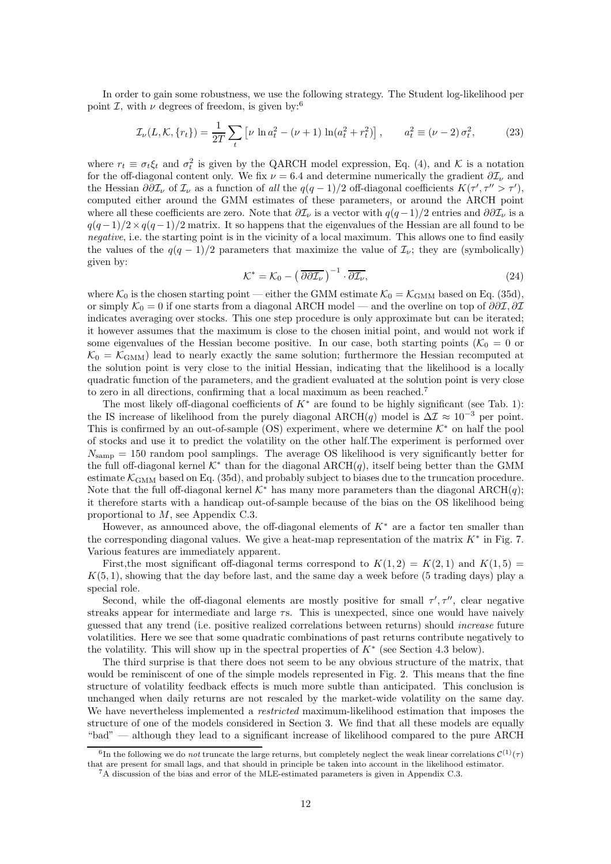In order to gain some robustness, we use the following strategy. The Student log-likelihood per point *I*, with  $\nu$  degrees of freedom, is given by:<sup>6</sup>

$$
\mathcal{I}_{\nu}(L,\mathcal{K},\{r_t\}) = \frac{1}{2T} \sum_{t} \left[ \nu \ln a_t^2 - (\nu + 1) \ln(a_t^2 + r_t^2) \right], \qquad a_t^2 \equiv (\nu - 2) \sigma_t^2,
$$
 (23)

where  $r_t \equiv \sigma_t \xi_t$  and  $\sigma_t^2$  is given by the QARCH model expression, Eq. (4), and K is a notation for the off-diagonal content only. We fix  $\nu = 6.4$  and determine numerically the gradient  $\partial \mathcal{I}_{\nu}$  and the Hessian  $\partial \partial \mathcal{I}_{\nu}$  of  $\mathcal{I}_{\nu}$  as a function of all the  $q(q-1)/2$  off-diagonal coefficients  $K(\tau', \tau'' > \tau')$ , computed either around the GMM estimates of these parameters, or around the ARCH point where all these coefficients are zero. Note that  $\partial \mathcal{I}_{\nu}$  is a vector with  $q(q-1)/2$  entries and  $\partial \partial \mathcal{I}_{\nu}$  is a  $q(q-1)/2 \times q(q-1)/2$  matrix. It so happens that the eigenvalues of the Hessian are all found to be negative, i.e. the starting point is in the vicinity of a local maximum. This allows one to find easily the values of the  $q(q-1)/2$  parameters that maximize the value of  $\mathcal{I}_{\nu}$ ; they are (symbolically) given by:

$$
\mathcal{K}^* = \mathcal{K}_0 - \left(\overline{\partial \partial \mathcal{I}_\nu}\right)^{-1} \cdot \overline{\partial \mathcal{I}_\nu},\tag{24}
$$

where  $\mathcal{K}_0$  is the chosen starting point — either the GMM estimate  $\mathcal{K}_0 = \mathcal{K}_{\text{GMM}}$  based on Eq. (35d), or simply  $K_0 = 0$  if one starts from a diagonal ARCH model — and the overline on top of  $\partial \partial \mathcal{I}, \partial \mathcal{I}$ indicates averaging over stocks. This one step procedure is only approximate but can be iterated; it however assumes that the maximum is close to the chosen initial point, and would not work if some eigenvalues of the Hessian become positive. In our case, both starting points ( $K_0 = 0$  or  $K_0 = K_{\text{GMM}}$  lead to nearly exactly the same solution; furthermore the Hessian recomputed at the solution point is very close to the initial Hessian, indicating that the likelihood is a locally quadratic function of the parameters, and the gradient evaluated at the solution point is very close to zero in all directions, confirming that a local maximum as been reached.<sup>7</sup>

The most likely off-diagonal coefficients of  $K^*$  are found to be highly significant (see Tab. 1): the IS increase of likelihood from the purely diagonal ARCH(q) model is  $\Delta \mathcal{I} \approx 10^{-3}$  per point. This is confirmed by an out-of-sample (OS) experiment, where we determine  $\mathcal{K}^*$  on half the pool of stocks and use it to predict the volatility on the other half.The experiment is performed over  $N_{\text{samp}} = 150$  random pool samplings. The average OS likelihood is very significantly better for the full off-diagonal kernel  $\mathcal{K}^*$  than for the diagonal ARCH $(q)$ , itself being better than the GMM estimate  $\mathcal{K}_{GMM}$  based on Eq. (35d), and probably subject to biases due to the truncation procedure. Note that the full off-diagonal kernel  $\mathcal{K}^*$  has many more parameters than the diagonal ARCH(q); it therefore starts with a handicap out-of-sample because of the bias on the OS likelihood being proportional to  $M$ , see Appendix C.3.

However, as announced above, the off-diagonal elements of  $K^*$  are a factor ten smaller than the corresponding diagonal values. We give a heat-map representation of the matrix  $K^*$  in Fig. 7. Various features are immediately apparent.

First, the most significant off-diagonal terms correspond to  $K(1, 2) = K(2, 1)$  and  $K(1, 5) =$  $K(5, 1)$ , showing that the day before last, and the same day a week before (5 trading days) play a special role.

Second, while the off-diagonal elements are mostly positive for small  $\tau', \tau''$ , clear negative streaks appear for intermediate and large  $\tau s$ . This is unexpected, since one would have naively guessed that any trend (i.e. positive realized correlations between returns) should increase future volatilities. Here we see that some quadratic combinations of past returns contribute negatively to the volatility. This will show up in the spectral properties of  $K^*$  (see Section 4.3 below).

The third surprise is that there does not seem to be any obvious structure of the matrix, that would be reminiscent of one of the simple models represented in Fig. 2. This means that the fine structure of volatility feedback effects is much more subtle than anticipated. This conclusion is unchanged when daily returns are not rescaled by the market-wide volatility on the same day. We have nevertheless implemented a *restricted* maximum-likelihood estimation that imposes the structure of one of the models considered in Section 3. We find that all these models are equally "bad" — although they lead to a significant increase of likelihood compared to the pure ARCH

<sup>&</sup>lt;sup>6</sup>In the following we do not truncate the large returns, but completely neglect the weak linear correlations  $\mathcal{C}^{(1)}(\tau)$ that are present for small lags, and that should in principle be taken into account in the likelihood estimator.

<sup>7</sup>A discussion of the bias and error of the MLE-estimated parameters is given in Appendix C.3.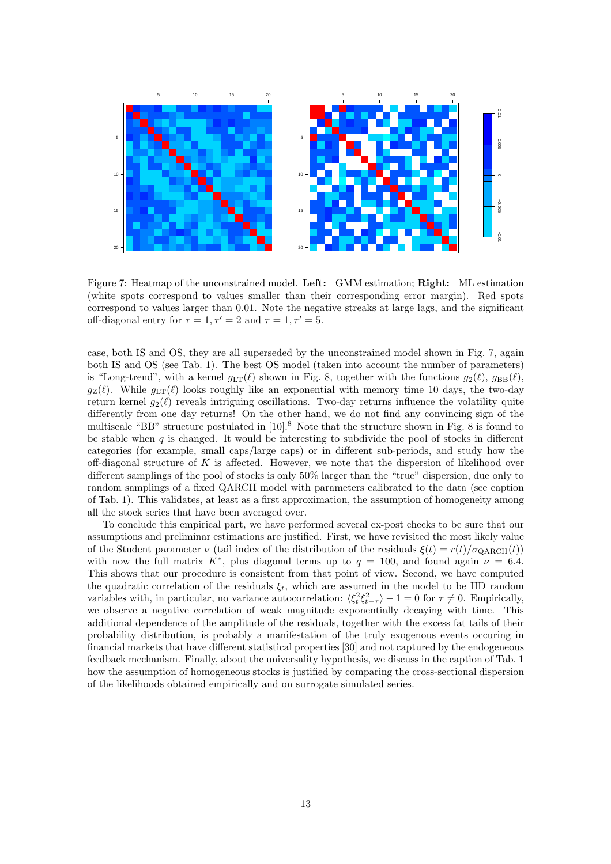

Figure 7: Heatmap of the unconstrained model. Left: GMM estimation; Right: ML estimation (white spots correspond to values smaller than their corresponding error margin). Red spots correspond to values larger than 0.01. Note the negative streaks at large lags, and the significant off-diagonal entry for  $\tau = 1, \tau' = 2$  and  $\tau = 1, \tau' = 5$ .

case, both IS and OS, they are all superseded by the unconstrained model shown in Fig. 7, again both IS and OS (see Tab. 1). The best OS model (taken into account the number of parameters) is "Long-trend", with a kernel  $g_{\text{LT}}(\ell)$  shown in Fig. 8, together with the functions  $g_2(\ell)$ ,  $g_{\text{BB}}(\ell)$ ,  $g_Z(\ell)$ . While  $g_{LT}(\ell)$  looks roughly like an exponential with memory time 10 days, the two-day return kernel  $g_2(\ell)$  reveals intriguing oscillations. Two-day returns influence the volatility quite differently from one day returns! On the other hand, we do not find any convincing sign of the multiscale "BB" structure postulated in [10].<sup>8</sup> Note that the structure shown in Fig. 8 is found to be stable when  $q$  is changed. It would be interesting to subdivide the pool of stocks in different categories (for example, small caps/large caps) or in different sub-periods, and study how the off-diagonal structure of K is affected. However, we note that the dispersion of likelihood over different samplings of the pool of stocks is only 50% larger than the "true" dispersion, due only to random samplings of a fixed QARCH model with parameters calibrated to the data (see caption of Tab. 1). This validates, at least as a first approximation, the assumption of homogeneity among all the stock series that have been averaged over.

To conclude this empirical part, we have performed several ex-post checks to be sure that our assumptions and preliminar estimations are justified. First, we have revisited the most likely value of the Student parameter  $\nu$  (tail index of the distribution of the residuals  $\xi(t) = r(t)/\sigma_{\text{OARCH}}(t)$ ) with now the full matrix  $K^*$ , plus diagonal terms up to  $q = 100$ , and found again  $\nu = 6.4$ . This shows that our procedure is consistent from that point of view. Second, we have computed the quadratic correlation of the residuals  $\xi_t$ , which are assumed in the model to be IID random variables with, in particular, no variance autocorrelation:  $\langle \xi_t^2 \xi_{t-\tau}^2 \rangle - 1 = 0$  for  $\tau \neq 0$ . Empirically, we observe a negative correlation of weak magnitude exponentially decaying with time. This additional dependence of the amplitude of the residuals, together with the excess fat tails of their probability distribution, is probably a manifestation of the truly exogenous events occuring in financial markets that have different statistical properties [30] and not captured by the endogeneous feedback mechanism. Finally, about the universality hypothesis, we discuss in the caption of Tab. 1 how the assumption of homogeneous stocks is justified by comparing the cross-sectional dispersion of the likelihoods obtained empirically and on surrogate simulated series.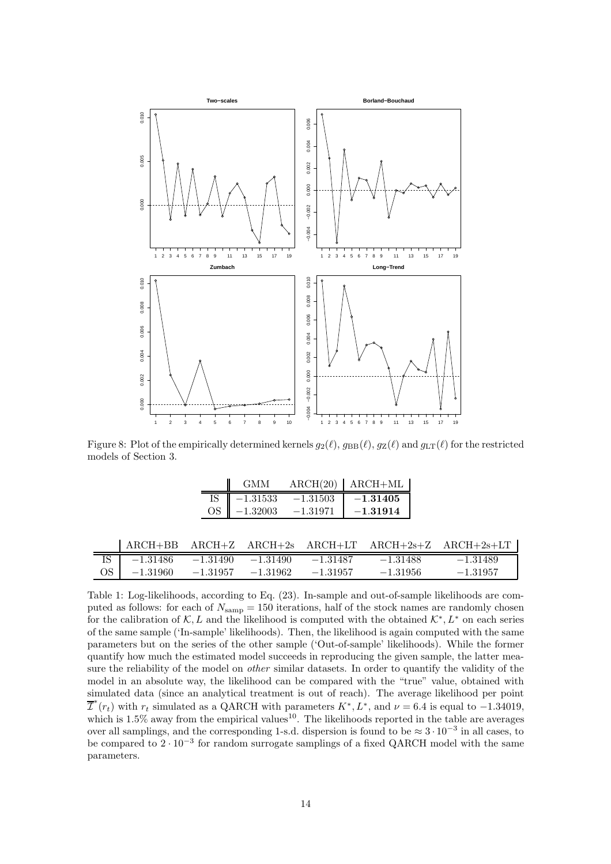

Figure 8: Plot of the empirically determined kernels  $g_2(\ell), g_{BB}(\ell), g_Z(\ell)$  and  $g_{LT}(\ell)$  for the restricted models of Section 3.

|           |               |               | <b>GMM</b>     | ARCH(20)   | $ARCH+ML$           |                      |
|-----------|---------------|---------------|----------------|------------|---------------------|----------------------|
|           |               | IS            | $-1.31533$     | $-1.31503$ | $-1.31405$          |                      |
|           |               | OS            | $-1.32003$     | $-1.31971$ | $-1.31914$          |                      |
|           |               |               |                |            |                     |                      |
|           | $\rm ARCH+BB$ | $\rm{ARCH+Z}$ | $\rm{ARCH+2s}$ | ARCH+LT    | $\rm ARCH{+}2s{+}Z$ | $\rm ARCH{+}2s{+}LT$ |
| IS        | $-1.31486$    | $-1.31490$    | $-1.31490$     | $-1.31487$ | $-1.31488$          | $-1.31489$           |
| <b>OS</b> | $-1.31960$    | $-1.31957$    | $-1.31962$     | $-1.31957$ | $-1.31956$          | $-1.31957$           |

Table 1: Log-likelihoods, according to Eq. (23). In-sample and out-of-sample likelihoods are computed as follows: for each of  $N_{\text{samp}} = 150$  iterations, half of the stock names are randomly chosen for the calibration of  $K, L$  and the likelihood is computed with the obtained  $\mathcal{K}^*, L^*$  on each series of the same sample ('In-sample' likelihoods). Then, the likelihood is again computed with the same parameters but on the series of the other sample ('Out-of-sample' likelihoods). While the former quantify how much the estimated model succeeds in reproducing the given sample, the latter measure the reliability of the model on other similar datasets. In order to quantify the validity of the model in an absolute way, the likelihood can be compared with the "true" value, obtained with simulated data (since an analytical treatment is out of reach). The average likelihood per point  $\overline{\mathcal{I}}^*(r_t)$  with  $r_t$  simulated as a QARCH with parameters  $K^*, L^*,$  and  $\nu = 6.4$  is equal to  $-1.34019$ , which is  $1.5\%$  away from the empirical values<sup>10</sup>. The likelihoods reported in the table are averages over all samplings, and the corresponding 1-s.d. dispersion is found to be  $\approx 3 \cdot 10^{-3}$  in all cases, to be compared to  $2 \cdot 10^{-3}$  for random surrogate samplings of a fixed QARCH model with the same parameters.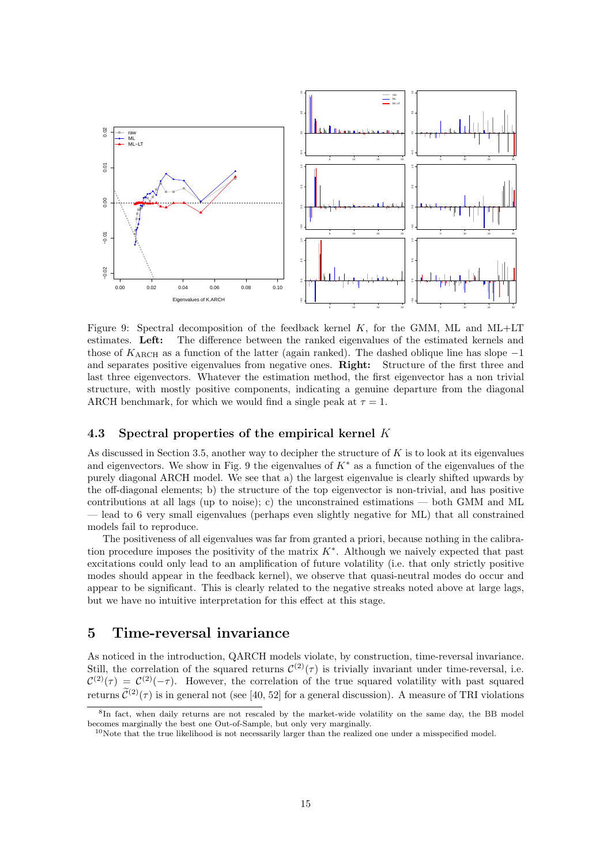

Figure 9: Spectral decomposition of the feedback kernel  $K$ , for the GMM, ML and ML+LT estimates. Left: The difference between the ranked eigenvalues of the estimated kernels and those of  $K_{\text{ARCH}}$  as a function of the latter (again ranked). The dashed oblique line has slope  $-1$ and separates positive eigenvalues from negative ones. **Right:** Structure of the first three and last three eigenvectors. Whatever the estimation method, the first eigenvector has a non trivial structure, with mostly positive components, indicating a genuine departure from the diagonal ARCH benchmark, for which we would find a single peak at  $\tau = 1$ .

#### 4.3 Spectral properties of the empirical kernel K

As discussed in Section 3.5, another way to decipher the structure of  $K$  is to look at its eigenvalues and eigenvectors. We show in Fig. 9 the eigenvalues of  $K^*$  as a function of the eigenvalues of the purely diagonal ARCH model. We see that a) the largest eigenvalue is clearly shifted upwards by the off-diagonal elements; b) the structure of the top eigenvector is non-trivial, and has positive contributions at all lags (up to noise); c) the unconstrained estimations — both GMM and ML — lead to 6 very small eigenvalues (perhaps even slightly negative for ML) that all constrained models fail to reproduce.

The positiveness of all eigenvalues was far from granted a priori, because nothing in the calibration procedure imposes the positivity of the matrix  $K^*$ . Although we naively expected that past excitations could only lead to an amplification of future volatility (i.e. that only strictly positive modes should appear in the feedback kernel), we observe that quasi-neutral modes do occur and appear to be significant. This is clearly related to the negative streaks noted above at large lags, but we have no intuitive interpretation for this effect at this stage.

### 5 Time-reversal invariance

As noticed in the introduction, QARCH models violate, by construction, time-reversal invariance. Still, the correlation of the squared returns  $\mathcal{C}^{(2)}(\tau)$  is trivially invariant under time-reversal, i.e.  $\mathcal{C}^{(2)}(\tau) = \mathcal{C}^{(2)}(-\tau)$ . However, the correlation of the true squared volatility with past squared returns  $\tilde{C}^{(2)}(\tau)$  is in general not (see [40, 52] for a general discussion). A measure of TRI violations

<sup>8</sup> In fact, when daily returns are not rescaled by the market-wide volatility on the same day, the BB model becomes marginally the best one Out-of-Sample, but only very marginally.

 $10$ Note that the true likelihood is not necessarily larger than the realized one under a misspecified model.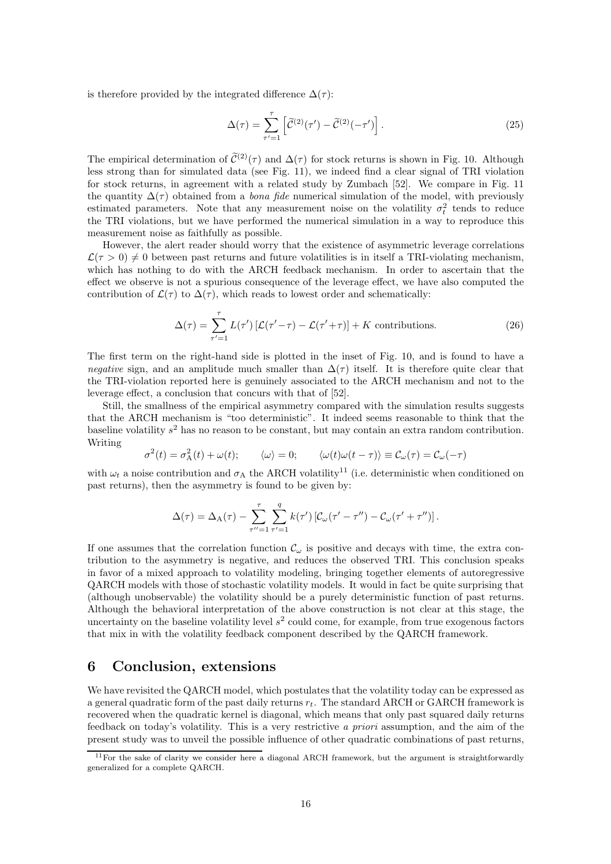is therefore provided by the integrated difference  $\Delta(\tau)$ :

$$
\Delta(\tau) = \sum_{\tau'=1}^{\tau} \left[ \tilde{\mathcal{C}}^{(2)}(\tau') - \tilde{\mathcal{C}}^{(2)}(-\tau') \right]. \tag{25}
$$

The empirical determination of  $\tilde{C}^{(2)}(\tau)$  and  $\Delta(\tau)$  for stock returns is shown in Fig. 10. Although less strong than for simulated data (see Fig. 11), we indeed find a clear signal of TRI violation for stock returns, in agreement with a related study by Zumbach [52]. We compare in Fig. 11 the quantity  $\Delta(\tau)$  obtained from a *bona fide* numerical simulation of the model, with previously estimated parameters. Note that any measurement noise on the volatility  $\sigma_t^2$  tends to reduce the TRI violations, but we have performed the numerical simulation in a way to reproduce this measurement noise as faithfully as possible.

However, the alert reader should worry that the existence of asymmetric leverage correlations  $\mathcal{L}(\tau > 0) \neq 0$  between past returns and future volatilities is in itself a TRI-violating mechanism, which has nothing to do with the ARCH feedback mechanism. In order to ascertain that the effect we observe is not a spurious consequence of the leverage effect, we have also computed the contribution of  $\mathcal{L}(\tau)$  to  $\Delta(\tau)$ , which reads to lowest order and schematically:

$$
\Delta(\tau) = \sum_{\tau'=1}^{\tau} L(\tau') \left[ \mathcal{L}(\tau' - \tau) - \mathcal{L}(\tau' + \tau) \right] + K \text{ contributions.}
$$
 (26)

The first term on the right-hand side is plotted in the inset of Fig. 10, and is found to have a negative sign, and an amplitude much smaller than  $\Delta(\tau)$  itself. It is therefore quite clear that the TRI-violation reported here is genuinely associated to the ARCH mechanism and not to the leverage effect, a conclusion that concurs with that of [52].

Still, the smallness of the empirical asymmetry compared with the simulation results suggests that the ARCH mechanism is "too deterministic". It indeed seems reasonable to think that the baseline volatility  $s^2$  has no reason to be constant, but may contain an extra random contribution. Writing

$$
\sigma^{2}(t) = \sigma_{A}^{2}(t) + \omega(t); \qquad \langle \omega \rangle = 0; \qquad \langle \omega(t)\omega(t-\tau) \rangle \equiv \mathcal{C}_{\omega}(\tau) = \mathcal{C}_{\omega}(-\tau)
$$

with  $\omega_t$  a noise contribution and  $\sigma_A$  the ARCH volatility<sup>11</sup> (i.e. deterministic when conditioned on past returns), then the asymmetry is found to be given by:

$$
\Delta(\tau) = \Delta_{\rm A}(\tau) - \sum_{\tau''=1}^{\tau} \sum_{\tau'=1}^{q} k(\tau') \left[ C_{\omega}(\tau' - \tau'') - C_{\omega}(\tau' + \tau'') \right].
$$

If one assumes that the correlation function  $\mathcal{C}_{\omega}$  is positive and decays with time, the extra contribution to the asymmetry is negative, and reduces the observed TRI. This conclusion speaks in favor of a mixed approach to volatility modeling, bringing together elements of autoregressive QARCH models with those of stochastic volatility models. It would in fact be quite surprising that (although unobservable) the volatility should be a purely deterministic function of past returns. Although the behavioral interpretation of the above construction is not clear at this stage, the uncertainty on the baseline volatility level  $s^2$  could come, for example, from true exogenous factors that mix in with the volatility feedback component described by the QARCH framework.

### 6 Conclusion, extensions

We have revisited the QARCH model, which postulates that the volatility today can be expressed as a general quadratic form of the past daily returns  $r_t$ . The standard ARCH or GARCH framework is recovered when the quadratic kernel is diagonal, which means that only past squared daily returns feedback on today's volatility. This is a very restrictive a priori assumption, and the aim of the present study was to unveil the possible influence of other quadratic combinations of past returns,

 $11$ For the sake of clarity we consider here a diagonal ARCH framework, but the argument is straightforwardly generalized for a complete QARCH.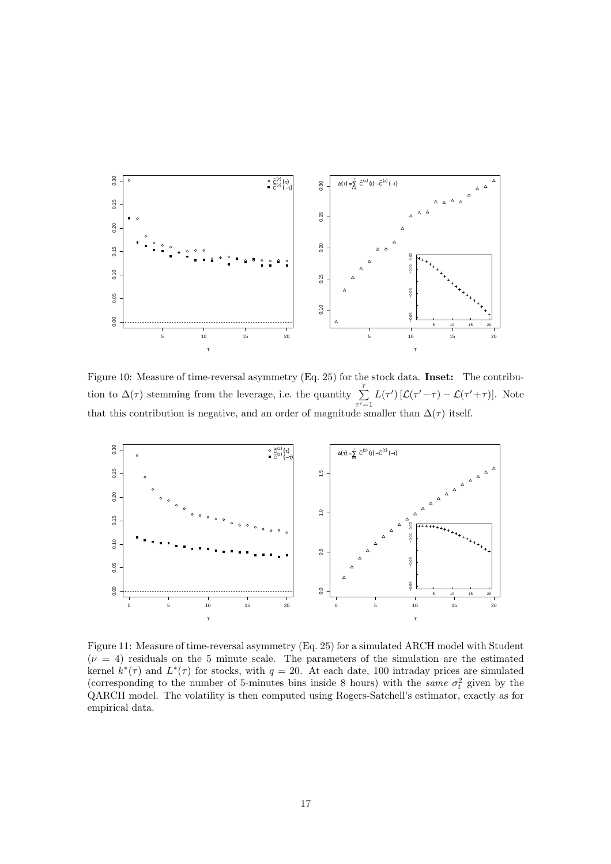

Figure 10: Measure of time-reversal asymmetry (Eq. 25) for the stock data. Inset: The contribution to  $\Delta(\tau)$  stemming from the leverage, i.e. the quantity  $\sum_{i=1}^{\tau}$  $\tau$ <sup> $\tau$ </sup> $=$ 1  $L(\tau')\left[\mathcal{L}(\tau'-\tau)-\mathcal{L}(\tau'+\tau)\right]$ . Note that this contribution is negative, and an order of magnitude smaller than  $\Delta(\tau)$  itself.



Figure 11: Measure of time-reversal asymmetry (Eq. 25) for a simulated ARCH model with Student  $(\nu = 4)$  residuals on the 5 minute scale. The parameters of the simulation are the estimated kernel  $k^*(\tau)$  and  $L^*(\tau)$  for stocks, with  $q=20$ . At each date, 100 intraday prices are simulated (corresponding to the number of 5-minutes bins inside 8 hours) with the same  $\sigma_t^2$  given by the QARCH model. The volatility is then computed using Rogers-Satchell's estimator, exactly as for empirical data.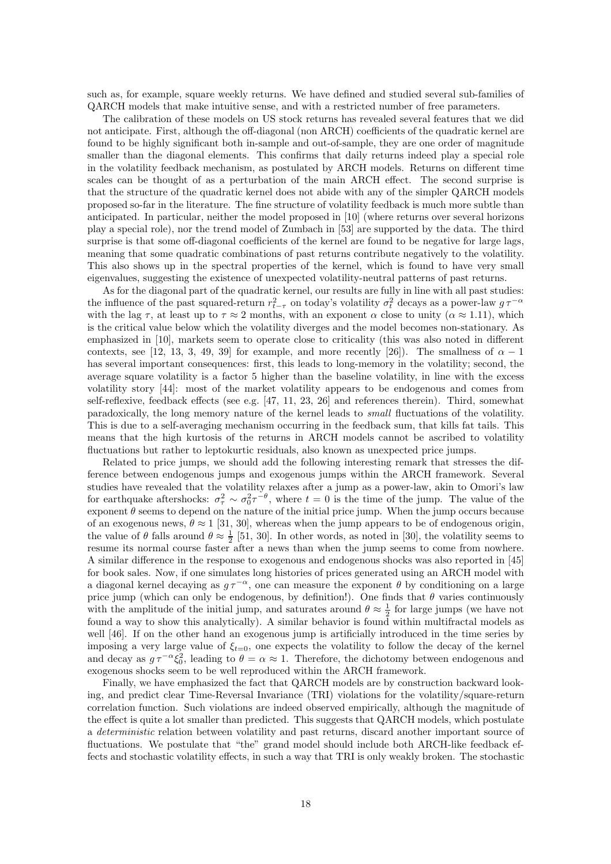such as, for example, square weekly returns. We have defined and studied several sub-families of QARCH models that make intuitive sense, and with a restricted number of free parameters.

The calibration of these models on US stock returns has revealed several features that we did not anticipate. First, although the off-diagonal (non ARCH) coefficients of the quadratic kernel are found to be highly significant both in-sample and out-of-sample, they are one order of magnitude smaller than the diagonal elements. This confirms that daily returns indeed play a special role in the volatility feedback mechanism, as postulated by ARCH models. Returns on different time scales can be thought of as a perturbation of the main ARCH effect. The second surprise is that the structure of the quadratic kernel does not abide with any of the simpler QARCH models proposed so-far in the literature. The fine structure of volatility feedback is much more subtle than anticipated. In particular, neither the model proposed in [10] (where returns over several horizons play a special role), nor the trend model of Zumbach in [53] are supported by the data. The third surprise is that some off-diagonal coefficients of the kernel are found to be negative for large lags, meaning that some quadratic combinations of past returns contribute negatively to the volatility. This also shows up in the spectral properties of the kernel, which is found to have very small eigenvalues, suggesting the existence of unexpected volatility-neutral patterns of past returns.

As for the diagonal part of the quadratic kernel, our results are fully in line with all past studies: the influence of the past squared-return  $r_{t-\tau}^2$  on today's volatility  $\sigma_t^2$  decays as a power-law  $g\tau^{-\alpha}$ with the lag  $\tau$ , at least up to  $\tau \approx 2$  months, with an exponent  $\alpha$  close to unity  $(\alpha \approx 1.11)$ , which is the critical value below which the volatility diverges and the model becomes non-stationary. As emphasized in [10], markets seem to operate close to criticality (this was also noted in different contexts, see [12, 13, 3, 49, 39] for example, and more recently [26]). The smallness of  $\alpha - 1$ has several important consequences: first, this leads to long-memory in the volatility; second, the average square volatility is a factor 5 higher than the baseline volatility, in line with the excess volatility story [44]: most of the market volatility appears to be endogenous and comes from self-reflexive, feedback effects (see e.g. [47, 11, 23, 26] and references therein). Third, somewhat paradoxically, the long memory nature of the kernel leads to small fluctuations of the volatility. This is due to a self-averaging mechanism occurring in the feedback sum, that kills fat tails. This means that the high kurtosis of the returns in ARCH models cannot be ascribed to volatility fluctuations but rather to leptokurtic residuals, also known as unexpected price jumps.

Related to price jumps, we should add the following interesting remark that stresses the difference between endogenous jumps and exogenous jumps within the ARCH framework. Several studies have revealed that the volatility relaxes after a jump as a power-law, akin to Omori's law for earthquake aftershocks:  $\sigma_{\tau}^2 \sim \sigma_0^2 \tau^{-\theta}$ , where  $t = 0$  is the time of the jump. The value of the exponent  $\theta$  seems to depend on the nature of the initial price jump. When the jump occurs because of an exogenous news,  $\theta \approx 1$  [31, 30], whereas when the jump appears to be of endogenous origin, the value of  $\theta$  falls around  $\theta \approx \frac{1}{2}$  [51, 30]. In other words, as noted in [30], the volatility seems to resume its normal course faster after a news than when the jump seems to come from nowhere. A similar difference in the response to exogenous and endogenous shocks was also reported in [45] for book sales. Now, if one simulates long histories of prices generated using an ARCH model with a diagonal kernel decaying as  $g\tau^{-\alpha}$ , one can measure the exponent  $\theta$  by conditioning on a large price jump (which can only be endogenous, by definition!). One finds that  $\theta$  varies continuously with the amplitude of the initial jump, and saturates around  $\theta \approx \frac{1}{2}$  for large jumps (we have not found a way to show this analytically). A similar behavior is found within multifractal models as well [46]. If on the other hand an exogenous jump is artificially introduced in the time series by imposing a very large value of  $\xi_{t=0}$ , one expects the volatility to follow the decay of the kernel and decay as  $g \tau^{-\alpha} \xi_0^2$ , leading to  $\theta = \alpha \approx 1$ . Therefore, the dichotomy between endogenous and exogenous shocks seem to be well reproduced within the ARCH framework.

Finally, we have emphasized the fact that QARCH models are by construction backward looking, and predict clear Time-Reversal Invariance (TRI) violations for the volatility/square-return correlation function. Such violations are indeed observed empirically, although the magnitude of the effect is quite a lot smaller than predicted. This suggests that QARCH models, which postulate a *deterministic* relation between volatility and past returns, discard another important source of fluctuations. We postulate that "the" grand model should include both ARCH-like feedback effects and stochastic volatility effects, in such a way that TRI is only weakly broken. The stochastic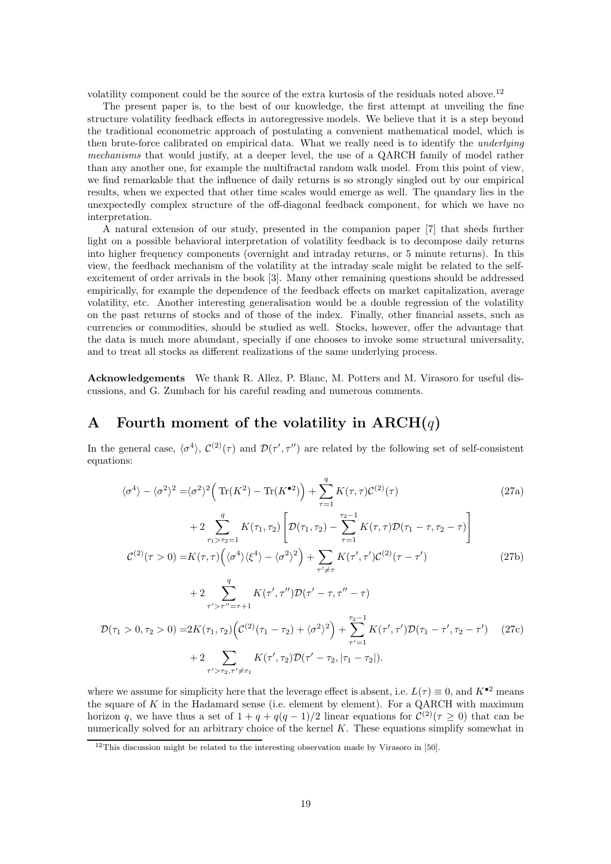volatility component could be the source of the extra kurtosis of the residuals noted above.<sup>12</sup>

The present paper is, to the best of our knowledge, the first attempt at unveiling the fine structure volatility feedback effects in autoregressive models. We believe that it is a step beyond the traditional econometric approach of postulating a convenient mathematical model, which is then brute-force calibrated on empirical data. What we really need is to identify the *underlying* mechanisms that would justify, at a deeper level, the use of a QARCH family of model rather than any another one, for example the multifractal random walk model. From this point of view, we find remarkable that the influence of daily returns is so strongly singled out by our empirical results, when we expected that other time scales would emerge as well. The quandary lies in the unexpectedly complex structure of the off-diagonal feedback component, for which we have no interpretation.

A natural extension of our study, presented in the companion paper [7] that sheds further light on a possible behavioral interpretation of volatility feedback is to decompose daily returns into higher frequency components (overnight and intraday returns, or 5 minute returns). In this view, the feedback mechanism of the volatility at the intraday scale might be related to the selfexcitement of order arrivals in the book [3]. Many other remaining questions should be addressed empirically, for example the dependence of the feedback effects on market capitalization, average volatility, etc. Another interesting generalisation would be a double regression of the volatility on the past returns of stocks and of those of the index. Finally, other financial assets, such as currencies or commodities, should be studied as well. Stocks, however, offer the advantage that the data is much more abundant, specially if one chooses to invoke some structural universality, and to treat all stocks as different realizations of the same underlying process.

Acknowledgements We thank R. Allez, P. Blanc, M. Potters and M. Virasoro for useful discussions, and G. Zumbach for his careful reading and numerous comments.

### A Fourth moment of the volatility in  $\text{ARCH}(q)$

In the general case,  $\langle \sigma^4 \rangle$ ,  $\mathcal{C}^{(2)}(\tau)$  and  $\mathcal{D}(\tau', \tau'')$  are related by the following set of self-consistent equations:

$$
\langle \sigma^4 \rangle - \langle \sigma^2 \rangle^2 = \langle \sigma^2 \rangle^2 \Big( \operatorname{Tr}(K^2) - \operatorname{Tr}(K^{\bullet 2}) \Big) + \sum_{\tau=1}^q K(\tau, \tau) \mathcal{C}^{(2)}(\tau)
$$
\n
$$
+ 2 \sum_{\tau_1 > \tau_2 = 1}^q K(\tau_1, \tau_2) \Bigg[ \mathcal{D}(\tau_1, \tau_2) - \sum_{\tau=1}^{\tau_2 - 1} K(\tau, \tau) \mathcal{D}(\tau_1 - \tau, \tau_2 - \tau) \Bigg]
$$
\n(27a)

$$
\mathcal{C}^{(2)}(\tau > 0) = K(\tau, \tau) \left( \langle \sigma^4 \rangle \langle \xi^4 \rangle - \langle \sigma^2 \rangle^2 \right) + \sum_{\tau' \neq \tau} K(\tau', \tau') \mathcal{C}^{(2)}(\tau - \tau')
$$
(27b)

$$
+ 2 \sum_{\tau' > \tau'' = \tau + 1} K(\tau', \tau'') \mathcal{D}(\tau' - \tau, \tau'' - \tau)
$$

$$
\mathcal{D}(\tau_1 > 0, \tau_2 > 0) = 2K(\tau_1, \tau_2) \Big( \mathcal{C}^{(2)}(\tau_1 - \tau_2) + \langle \sigma^2 \rangle^2 \Big) + \sum_{\tau'=1}^{\tau_2 - 1} K(\tau', \tau') \mathcal{D}(\tau_1 - \tau', \tau_2 - \tau') \tag{27c}
$$

$$
+ 2 \sum_{\tau' > \tau_2, \tau' \neq \tau_1} K(\tau', \tau_2) \mathcal{D}(\tau' - \tau_2, |\tau_1 - \tau_2|).
$$

where we assume for simplicity here that the leverage effect is absent, i.e.  $L(\tau) \equiv 0$ , and  $K^{\bullet 2}$  means the square of  $K$  in the Hadamard sense (i.e. element by element). For a QARCH with maximum horizon q, we have thus a set of  $1 + q + q(q - 1)/2$  linear equations for  $C^{(2)}(\tau \geq 0)$  that can be numerically solved for an arbitrary choice of the kernel  $K$ . These equations simplify somewhat in

 $12$ This discussion might be related to the interesting observation made by Virasoro in [50].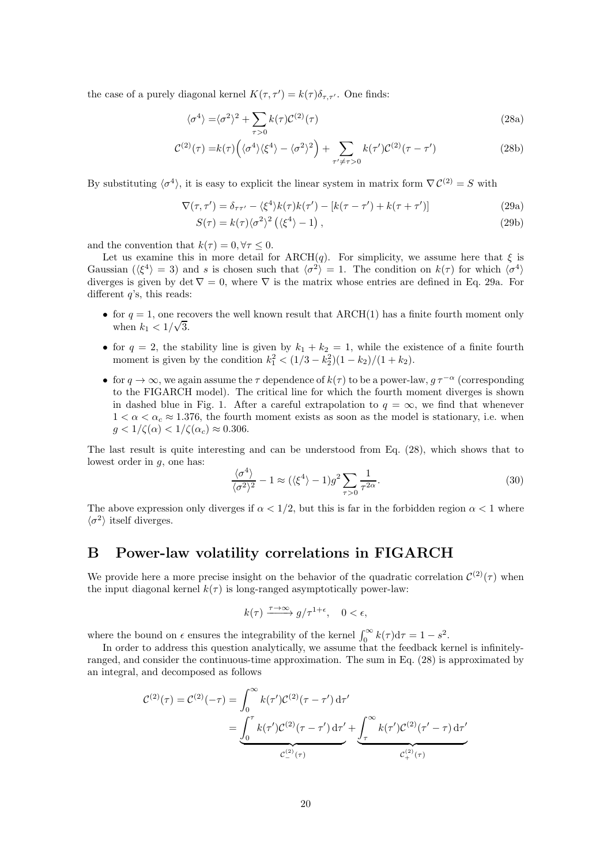the case of a purely diagonal kernel  $K(\tau, \tau') = k(\tau) \delta_{\tau, \tau'}$ . One finds:

$$
\langle \sigma^4 \rangle = \langle \sigma^2 \rangle^2 + \sum_{\tau > 0} k(\tau) \mathcal{C}^{(2)}(\tau) \tag{28a}
$$

$$
\mathcal{C}^{(2)}(\tau) = k(\tau) \left( \langle \sigma^4 \rangle \langle \xi^4 \rangle - \langle \sigma^2 \rangle^2 \right) + \sum_{\tau' \neq \tau > 0} k(\tau') \mathcal{C}^{(2)}(\tau - \tau') \tag{28b}
$$

By substituting  $\langle \sigma^4 \rangle$ , it is easy to explicit the linear system in matrix form  $\nabla C^{(2)} = S$  with

$$
\nabla(\tau,\tau') = \delta_{\tau\tau'} - \langle \xi^4 \rangle k(\tau)k(\tau') - [k(\tau-\tau') + k(\tau+\tau')]
$$
\n(29a)

$$
S(\tau) = k(\tau) \langle \sigma^2 \rangle^2 \left( \langle \xi^4 \rangle - 1 \right), \tag{29b}
$$

and the convention that  $k(\tau) = 0, \forall \tau \leq 0$ .

Let us examine this in more detail for ARCH(q). For simplicity, we assume here that  $\xi$  is Gaussian ( $\langle \xi^4 \rangle = 3$ ) and s is chosen such that  $\langle \sigma^2 \rangle = 1$ . The condition on  $k(\tau)$  for which  $\langle \sigma^4 \rangle$ diverges is given by det  $\nabla = 0$ , where  $\nabla$  is the matrix whose entries are defined in Eq. 29a. For different  $q$ 's, this reads:

- for  $q = 1$ , one recovers the well known result that ARCH(1) has a finite fourth moment only when  $k_1 < 1/\sqrt{3}$ .
- for  $q = 2$ , the stability line is given by  $k_1 + k_2 = 1$ , while the existence of a finite fourth moment is given by the condition  $k_1^2 < (1/3 - k_2^2)(1 - k_2)/(1 + k_2)$ .
- for  $q \to \infty$ , we again assume the  $\tau$  dependence of  $k(\tau)$  to be a power-law,  $q \tau^{-\alpha}$  (corresponding to the FIGARCH model). The critical line for which the fourth moment diverges is shown in dashed blue in Fig. 1. After a careful extrapolation to  $q = \infty$ , we find that whenever  $1 < \alpha < \alpha_c \approx 1.376$ , the fourth moment exists as soon as the model is stationary, i.e. when  $g < 1/\zeta(\alpha) < 1/\zeta(\alpha_c) \approx 0.306$ .

The last result is quite interesting and can be understood from Eq. (28), which shows that to lowest order in g, one has:

$$
\frac{\langle \sigma^4 \rangle}{\langle \sigma^2 \rangle^2} - 1 \approx (\langle \xi^4 \rangle - 1) g^2 \sum_{\tau > 0} \frac{1}{\tau^{2\alpha}}. \tag{30}
$$

The above expression only diverges if  $\alpha < 1/2$ , but this is far in the forbidden region  $\alpha < 1$  where  $\langle \sigma^2 \rangle$  itself diverges.

### B Power-law volatility correlations in FIGARCH

We provide here a more precise insight on the behavior of the quadratic correlation  $\mathcal{C}^{(2)}(\tau)$  when the input diagonal kernel  $k(\tau)$  is long-ranged asymptotically power-law:

$$
k(\tau) \xrightarrow{\tau \to \infty} g/\tau^{1+\epsilon}, \quad 0 < \epsilon,
$$

where the bound on  $\epsilon$  ensures the integrability of the kernel  $\int_0^\infty k(\tau) d\tau = 1 - s^2$ .

In order to address this question analytically, we assume that the feedback kernel is infinitelyranged, and consider the continuous-time approximation. The sum in Eq. (28) is approximated by an integral, and decomposed as follows

$$
\mathcal{C}^{(2)}(\tau) = \mathcal{C}^{(2)}(-\tau) = \int_0^\infty k(\tau') \mathcal{C}^{(2)}(\tau - \tau') d\tau' \n= \underbrace{\int_0^\tau k(\tau') \mathcal{C}^{(2)}(\tau - \tau') d\tau'}_{\mathcal{C}^{(2)}_-(\tau)} + \underbrace{\int_\tau^\infty k(\tau') \mathcal{C}^{(2)}(\tau' - \tau) d\tau'}_{\mathcal{C}^{(2)}_+(\tau)}
$$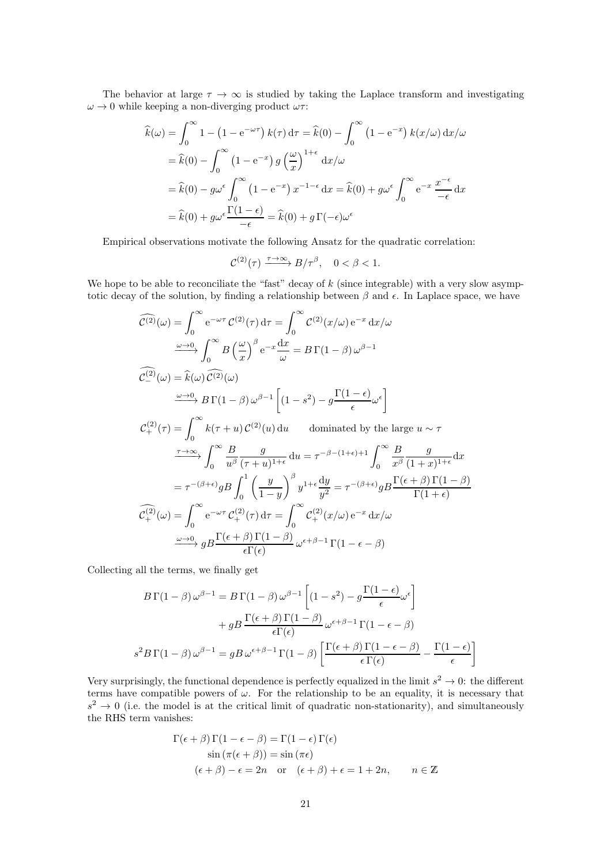The behavior at large  $\tau \to \infty$  is studied by taking the Laplace transform and investigating  $\omega \rightarrow 0$  while keeping a non-diverging product  $\omega \tau$ :

$$
\begin{split} \widehat{k}(\omega) &= \int_0^\infty 1 - \left(1 - e^{-\omega\tau}\right) k(\tau) \, \mathrm{d}\tau = \widehat{k}(0) - \int_0^\infty \left(1 - e^{-x}\right) k(x/\omega) \, \mathrm{d}x/\omega \\ &= \widehat{k}(0) - \int_0^\infty \left(1 - e^{-x}\right) g\left(\frac{\omega}{x}\right)^{1+\epsilon} \, \mathrm{d}x/\omega \\ &= \widehat{k}(0) - g\omega^\epsilon \int_0^\infty \left(1 - e^{-x}\right) x^{-1-\epsilon} \, \mathrm{d}x = \widehat{k}(0) + g\omega^\epsilon \int_0^\infty e^{-x} \, \frac{x^{-\epsilon}}{-\epsilon} \, \mathrm{d}x \\ &= \widehat{k}(0) + g\omega^\epsilon \frac{\Gamma(1-\epsilon)}{-\epsilon} = \widehat{k}(0) + g\,\Gamma(-\epsilon)\omega^\epsilon \end{split}
$$

Empirical observations motivate the following Ansatz for the quadratic correlation:

 $\mathcal{C}^{(2)}(\tau) \xrightarrow{\tau \to \infty} B/\tau^{\beta}, \quad 0 < \beta < 1.$ 

We hope to be able to reconciliate the "fast" decay of  $k$  (since integrable) with a very slow asymptotic decay of the solution, by finding a relationship between  $\beta$  and  $\epsilon$ . In Laplace space, we have

$$
\widehat{\mathcal{C}}^{(2)}(\omega) = \int_0^\infty e^{-\omega \tau} \mathcal{C}^{(2)}(\tau) d\tau = \int_0^\infty \mathcal{C}^{(2)}(x/\omega) e^{-x} dx/\omega
$$

$$
\xrightarrow{\omega \to 0} \int_0^\infty B\left(\frac{\omega}{x}\right)^\beta e^{-x} \frac{dx}{\omega} = B\Gamma(1-\beta)\omega^{\beta-1}
$$

$$
\widehat{\mathcal{C}}^{(2)}_-(\omega) = \widehat{k}(\omega) \widehat{\mathcal{C}}^{(2)}(\omega)
$$

$$
\xrightarrow{\omega \to 0} B\Gamma(1-\beta)\omega^{\beta-1} \left[ (1-s^2) - g \frac{\Gamma(1-\epsilon)}{\epsilon} \omega^\epsilon \right]
$$

$$
\mathcal{C}^{(2)}_+(\tau) = \int_0^\infty k(\tau + u) \mathcal{C}^{(2)}(u) du \qquad \text{dominated by the large } u \sim \tau
$$

$$
\xrightarrow{\tau \to \infty} \int_0^\infty \frac{B}{u^\beta} \frac{g}{(\tau + u)^{1+\epsilon}} du = \tau^{-\beta-(1+\epsilon)+1} \int_0^\infty \frac{B}{x^\beta} \frac{g}{(1+x)^{1+\epsilon}} dx
$$

$$
= \tau^{-(\beta+\epsilon)} g B \int_0^1 \left(\frac{y}{1-y}\right)^\beta y^{1+\epsilon} \frac{dy}{y^2} = \tau^{-(\beta+\epsilon)} g B \frac{\Gamma(\epsilon+\beta)\Gamma(1-\beta)}{\Gamma(1+\epsilon)}
$$

$$
\widehat{\mathcal{C}}^{(2)}_+(\omega) = \int_0^\infty e^{-\omega \tau} \mathcal{C}^{(2)}_+(\tau) d\tau = \int_0^\infty \mathcal{C}^{(2)}_+(\omega/\omega) e^{-x} dx/\omega
$$

$$
\xrightarrow{\omega \to 0} g B \frac{\Gamma(\epsilon+\beta)\Gamma(1-\beta)}{\epsilon \Gamma(\epsilon)} \omega^{\epsilon+\beta-1} \Gamma(1-\epsilon-\beta)
$$

Collecting all the terms, we finally get

$$
B \Gamma(1 - \beta) \omega^{\beta - 1} = B \Gamma(1 - \beta) \omega^{\beta - 1} \left[ (1 - s^2) - g \frac{\Gamma(1 - \epsilon)}{\epsilon} \omega^{\epsilon} \right]
$$

$$
+ gB \frac{\Gamma(\epsilon + \beta) \Gamma(1 - \beta)}{\epsilon \Gamma(\epsilon)} \omega^{\epsilon + \beta - 1} \Gamma(1 - \epsilon - \beta)
$$

$$
s^2 B \Gamma(1 - \beta) \omega^{\beta - 1} = gB \omega^{\epsilon + \beta - 1} \Gamma(1 - \beta) \left[ \frac{\Gamma(\epsilon + \beta) \Gamma(1 - \epsilon - \beta)}{\epsilon \Gamma(\epsilon)} - \frac{\Gamma(1 - \epsilon)}{\epsilon} \right]
$$

Very surprisingly, the functional dependence is perfectly equalized in the limit  $s^2 \to 0$ : the different terms have compatible powers of  $\omega$ . For the relationship to be an equality, it is necessary that  $s^2 \to 0$  (i.e. the model is at the critical limit of quadratic non-stationarity), and simultaneously the RHS term vanishes:

$$
\Gamma(\epsilon + \beta) \Gamma(1 - \epsilon - \beta) = \Gamma(1 - \epsilon) \Gamma(\epsilon)
$$
  
\n
$$
\sin(\pi(\epsilon + \beta)) = \sin(\pi\epsilon)
$$
  
\n
$$
(\epsilon + \beta) - \epsilon = 2n \quad \text{or} \quad (\epsilon + \beta) + \epsilon = 1 + 2n, \qquad n \in \mathbb{Z}
$$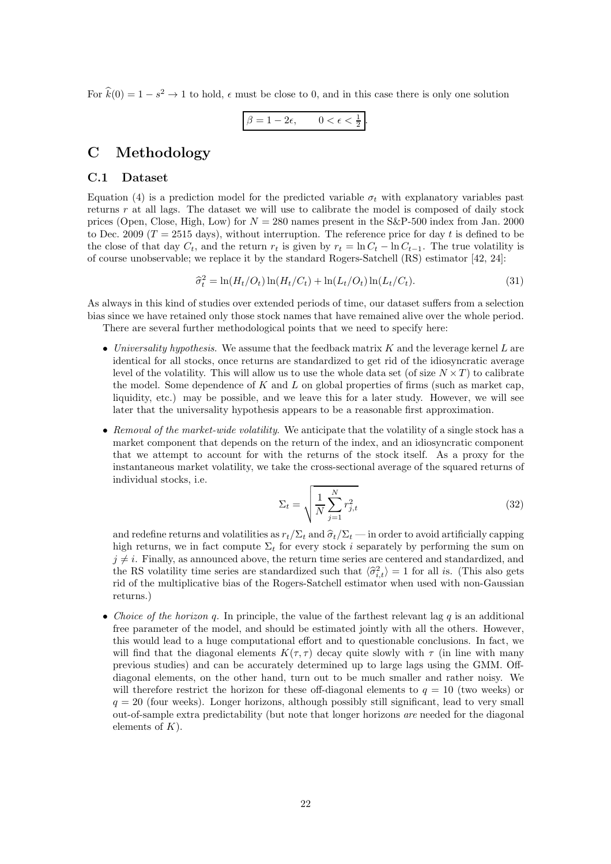For  $\hat{k}(0) = 1 - s^2 \to 1$  to hold,  $\epsilon$  must be close to 0, and in this case there is only one solution

$$
\beta = 1 - 2\epsilon, \qquad 0 < \epsilon < \frac{1}{2} \, .
$$

## C Methodology

#### C.1 Dataset

Equation (4) is a prediction model for the predicted variable  $\sigma_t$  with explanatory variables past returns r at all lags. The dataset we will use to calibrate the model is composed of daily stock prices (Open, Close, High, Low) for  $N = 280$  names present in the S&P-500 index from Jan. 2000 to Dec. 2009 ( $T = 2515$  days), without interruption. The reference price for day t is defined to be the close of that day  $C_t$ , and the return  $r_t$  is given by  $r_t = \ln C_t - \ln C_{t-1}$ . The true volatility is of course unobservable; we replace it by the standard Rogers-Satchell (RS) estimator [42, 24]:

$$
\widehat{\sigma}_t^2 = \ln(H_t/O_t)\ln(H_t/C_t) + \ln(L_t/O_t)\ln(L_t/C_t). \tag{31}
$$

As always in this kind of studies over extended periods of time, our dataset suffers from a selection bias since we have retained only those stock names that have remained alive over the whole period. There are several further methodological points that we need to specify here:

- Universality hypothesis. We assume that the feedback matrix  $K$  and the leverage kernel  $L$  are identical for all stocks, once returns are standardized to get rid of the idiosyncratic average level of the volatility. This will allow us to use the whole data set (of size  $N \times T$ ) to calibrate the model. Some dependence of  $K$  and  $L$  on global properties of firms (such as market cap, liquidity, etc.) may be possible, and we leave this for a later study. However, we will see later that the universality hypothesis appears to be a reasonable first approximation.
- Removal of the market-wide volatility. We anticipate that the volatility of a single stock has a market component that depends on the return of the index, and an idiosyncratic component that we attempt to account for with the returns of the stock itself. As a proxy for the instantaneous market volatility, we take the cross-sectional average of the squared returns of individual stocks, i.e.

$$
\Sigma_t = \sqrt{\frac{1}{N} \sum_{j=1}^{N} r_{j,t}^2}
$$
 (32)

and redefine returns and volatilities as  $r_t/\Sigma_t$  and  $\hat{\sigma}_t/\Sigma_t$  — in order to avoid artificially capping high returns, we in fact compute  $\Sigma_t$  for every stock i separately by performing the sum on  $j \neq i$ . Finally, as announced above, the return time series are centered and standardized, and the RS volatility time series are standardized such that  $\langle \hat{\sigma}_{i,t}^2 \rangle = 1$  for all is. (This also gets rid of the multiplicative bias of the Rogers-Satchell estimator when used with non-Gaussian returns.)

• Choice of the horizon q. In principle, the value of the farthest relevant lag q is an additional free parameter of the model, and should be estimated jointly with all the others. However, this would lead to a huge computational effort and to questionable conclusions. In fact, we will find that the diagonal elements  $K(\tau, \tau)$  decay quite slowly with  $\tau$  (in line with many previous studies) and can be accurately determined up to large lags using the GMM. Offdiagonal elements, on the other hand, turn out to be much smaller and rather noisy. We will therefore restrict the horizon for these off-diagonal elements to  $q = 10$  (two weeks) or  $q = 20$  (four weeks). Longer horizons, although possibly still significant, lead to very small out-of-sample extra predictability (but note that longer horizons are needed for the diagonal elements of  $K$ ).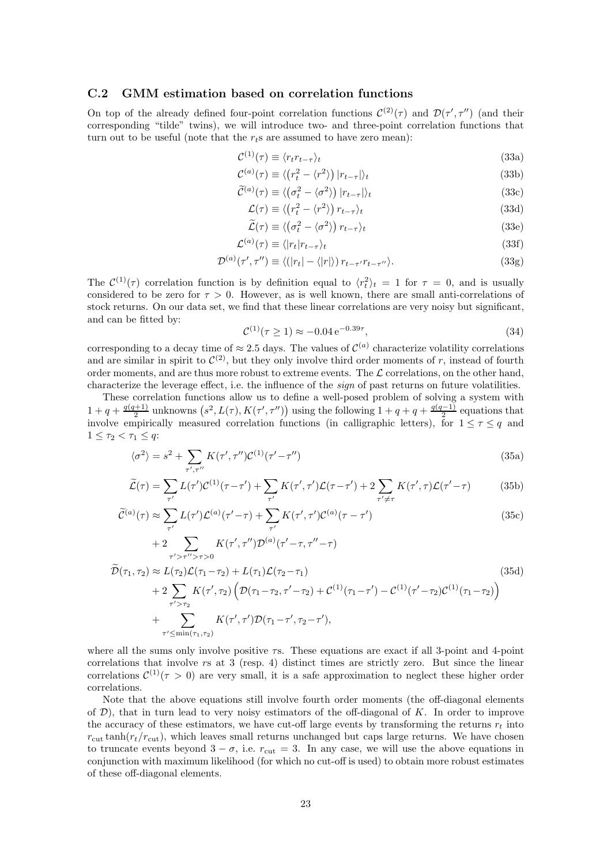#### C.2 GMM estimation based on correlation functions

On top of the already defined four-point correlation functions  $\mathcal{C}^{(2)}(\tau)$  and  $\mathcal{D}(\tau', \tau'')$  (and their corresponding "tilde" twins), we will introduce two- and three-point correlation functions that turn out to be useful (note that the  $r<sub>t</sub>$ s are assumed to have zero mean):

$$
\mathcal{C}^{(1)}(\tau) \equiv \langle r_t r_{t-\tau} \rangle_t \tag{33a}
$$

$$
\mathcal{C}^{(a)}(\tau) \equiv \langle \left( r_t^2 - \langle r^2 \rangle \right) | r_{t-\tau} | \rangle_t \tag{33b}
$$

$$
\widetilde{\mathcal{C}}^{(a)}(\tau) \equiv \langle \left(\sigma_t^2 - \langle \sigma^2 \rangle\right) | r_{t-\tau} | \rangle_t \tag{33c}
$$

$$
\mathcal{L}(\tau) \equiv \langle \left( r_t^2 - \langle r^2 \rangle \right) r_{t-\tau} \rangle_t \tag{33d}
$$

$$
\widetilde{\mathcal{L}}(\tau) \equiv \langle \left(\sigma_t^2 - \langle \sigma^2 \rangle\right) r_{t-\tau} \rangle_t \tag{33e}
$$

$$
\mathcal{L}^{(a)}(\tau) \equiv \langle |r_t|r_{t-\tau}\rangle_t \tag{33f}
$$

$$
\mathcal{D}^{(a)}(\tau', \tau'') \equiv \langle (|r_t| - \langle |r| \rangle) r_{t-\tau'} r_{t-\tau''} \rangle. \tag{33g}
$$

The  $\mathcal{C}^{(1)}(\tau)$  correlation function is by definition equal to  $\langle r_t^2 \rangle_t = 1$  for  $\tau = 0$ , and is usually considered to be zero for  $\tau > 0$ . However, as is well known, there are small anti-correlations of stock returns. On our data set, we find that these linear correlations are very noisy but significant, and can be fitted by:

$$
\mathcal{C}^{(1)}(\tau \ge 1) \approx -0.04 \,\mathrm{e}^{-0.39\tau},\tag{34}
$$

corresponding to a decay time of  $\approx 2.5$  days. The values of  $\mathcal{C}^{(a)}$  characterize volatility correlations and are similar in spirit to  $\mathcal{C}^{(2)}$ , but they only involve third order moments of r, instead of fourth order moments, and are thus more robust to extreme events. The  $\mathcal L$  correlations, on the other hand, characterize the leverage effect, i.e. the influence of the sign of past returns on future volatilities.

These correlation functions allow us to define a well-posed problem of solving a system with  $1+q+\frac{q(q+1)}{2}$  $\frac{q+1}{2}$  unknowns  $(s^2, L(\tau), K(\tau', \tau''))$  using the following  $1 + q + q + \frac{q(q-1)}{2}$  $\frac{(-1)}{2}$  equations that involve empirically measured correlation functions (in calligraphic letters), for  $1 \leq \tau \leq q$  and  $1 \leq \tau_2 < \tau_1 \leq q$ :

$$
\langle \sigma^2 \rangle = s^2 + \sum_{\tau', \tau''} K(\tau', \tau'') \mathcal{C}^{(1)}(\tau' - \tau'')
$$
\n(35a)

$$
\widetilde{\mathcal{L}}(\tau) = \sum_{\tau'} L(\tau') \mathcal{C}^{(1)}(\tau - \tau') + \sum_{\tau'} K(\tau', \tau') \mathcal{L}(\tau - \tau') + 2 \sum_{\tau' \neq \tau} K(\tau', \tau) \mathcal{L}(\tau' - \tau)
$$
(35b)

$$
\widetilde{\mathcal{C}}^{(a)}(\tau) \approx \sum_{\tau'} L(\tau') \mathcal{L}^{(a)}(\tau' - \tau) + \sum_{\tau'} K(\tau', \tau') \mathcal{C}^{(a)}(\tau - \tau')
$$
\n
$$
+ 2 \sum_{\tau'} K(\tau', \tau'') \mathcal{D}^{(a)}(\tau' - \tau, \tau'' - \tau)
$$
\n(35c)

$$
\tilde{\mathcal{D}}(\tau_1, \tau_2) \approx L(\tau_2) \mathcal{L}(\tau_1 - \tau_2) + L(\tau_1) \mathcal{L}(\tau_2 - \tau_1)
$$
\n
$$
+ 2 \sum_{\tau' > \tau_2} K(\tau', \tau_2) \left( \mathcal{D}(\tau_1 - \tau_2, \tau' - \tau_2) + \mathcal{C}^{(1)}(\tau_1 - \tau') - \mathcal{C}^{(1)}(\tau' - \tau_2) \mathcal{C}^{(1)}(\tau_1 - \tau_2) \right)
$$
\n
$$
+ \sum_{\tau' \le \min(\tau_1, \tau_2)} K(\tau', \tau') \mathcal{D}(\tau_1 - \tau', \tau_2 - \tau'),
$$
\n(35d)

where all the sums only involve positive  $\tau s$ . These equations are exact if all 3-point and 4-point correlations that involve rs at 3 (resp. 4) distinct times are strictly zero. But since the linear correlations  $\mathcal{C}^{(1)}(\tau > 0)$  are very small, it is a safe approximation to neglect these higher order correlations.

Note that the above equations still involve fourth order moments (the off-diagonal elements of  $\mathcal{D}$ ), that in turn lead to very noisy estimators of the off-diagonal of K. In order to improve the accuracy of these estimators, we have cut-off large events by transforming the returns  $r_t$  into  $r_{\text{cut}} \tanh(r_t/r_{\text{cut}})$ , which leaves small returns unchanged but caps large returns. We have chosen to truncate events beyond  $3 - \sigma$ , i.e.  $r_{\text{cut}} = 3$ . In any case, we will use the above equations in conjunction with maximum likelihood (for which no cut-off is used) to obtain more robust estimates of these off-diagonal elements.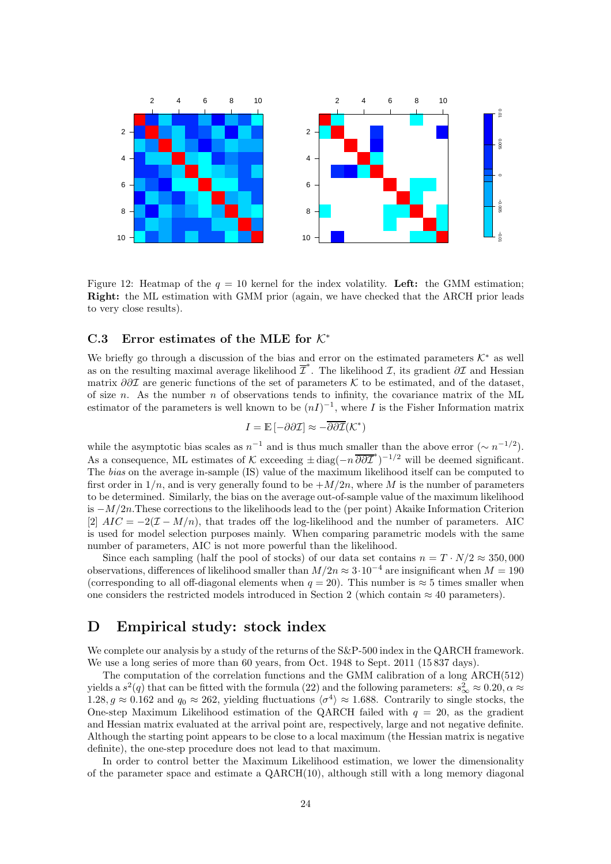

Figure 12: Heatmap of the  $q = 10$  kernel for the index volatility. Left: the GMM estimation; Right: the ML estimation with GMM prior (again, we have checked that the ARCH prior leads to very close results).

### C.3 Error estimates of the MLE for  $K^*$

We briefly go through a discussion of the bias and error on the estimated parameters  $\mathcal{K}^*$  as well as on the resulting maximal average likelihood  $\overline{\mathcal{I}}^*$ . The likelihood  $\mathcal{I}$ , its gradient  $\partial \mathcal{I}$  and Hessian matrix  $\partial \partial \mathcal{I}$  are generic functions of the set of parameters K to be estimated, and of the dataset, of size n. As the number  $n$  of observations tends to infinity, the covariance matrix of the ML estimator of the parameters is well known to be  $(nI)^{-1}$ , where I is the Fisher Information matrix

$$
I = \mathbb{E}\left[-\partial\partial\mathcal{I}\right] \approx -\overline{\partial\partial\mathcal{I}}(\mathcal{K}^*)
$$

while the asymptotic bias scales as  $n^{-1}$  and is thus much smaller than the above error ( $\sim n^{-1/2}$ ). As a consequence, ML estimates of K exceeding  $\pm \text{diag}(-n \overline{\partial \partial \mathcal{I}}^*)^{-1/2}$  will be deemed significant. The bias on the average in-sample (IS) value of the maximum likelihood itself can be computed to first order in  $1/n$ , and is very generally found to be  $+M/2n$ , where M is the number of parameters to be determined. Similarly, the bias on the average out-of-sample value of the maximum likelihood is −M/2n.These corrections to the likelihoods lead to the (per point) Akaike Information Criterion [2]  $AIC = -2(\mathcal{I} - M/n)$ , that trades off the log-likelihood and the number of parameters. AIC is used for model selection purposes mainly. When comparing parametric models with the same number of parameters, AIC is not more powerful than the likelihood.

Since each sampling (half the pool of stocks) of our data set contains  $n = T \cdot N/2 \approx 350,000$ observations, differences of likelihood smaller than  $M/2n \approx 3 \cdot 10^{-4}$  are insignificant when  $M = 190$ (corresponding to all off-diagonal elements when  $q = 20$ ). This number is  $\approx 5$  times smaller when one considers the restricted models introduced in Section 2 (which contain  $\approx$  40 parameters).

### D Empirical study: stock index

We complete our analysis by a study of the returns of the  $S\&P-500$  index in the QARCH framework. We use a long series of more than 60 years, from Oct. 1948 to Sept. 2011 (15837 days).

The computation of the correlation functions and the GMM calibration of a long ARCH(512) yields a  $s^2(q)$  that can be fitted with the formula (22) and the following parameters:  $s^2_{\infty} \approx 0.20, \alpha \approx$ 1.28,  $g \approx 0.162$  and  $q_0 \approx 262$ , yielding fluctuations  $\langle \sigma^4 \rangle \approx 1.688$ . Contrarily to single stocks, the One-step Maximum Likelihood estimation of the QARCH failed with  $q = 20$ , as the gradient and Hessian matrix evaluated at the arrival point are, respectively, large and not negative definite. Although the starting point appears to be close to a local maximum (the Hessian matrix is negative definite), the one-step procedure does not lead to that maximum.

In order to control better the Maximum Likelihood estimation, we lower the dimensionality of the parameter space and estimate a QARCH(10), although still with a long memory diagonal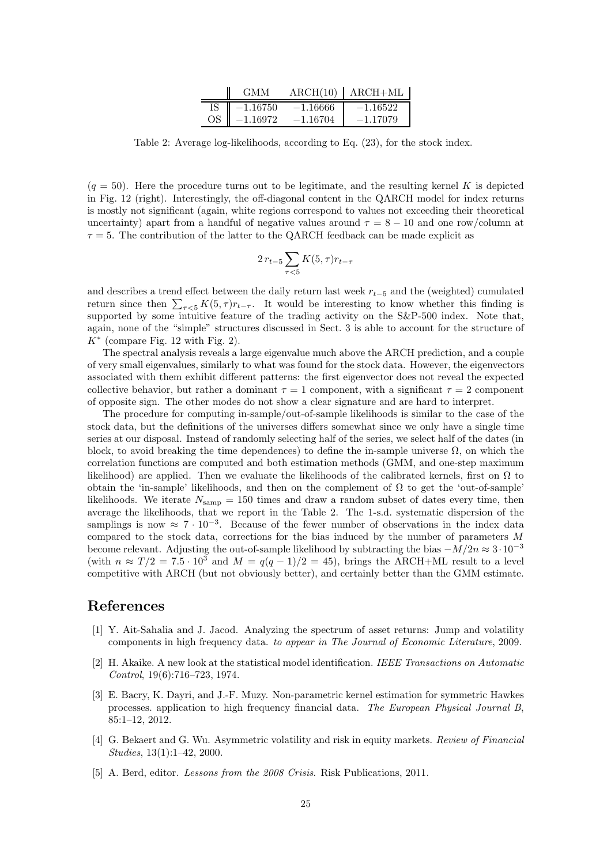|    | GMM        | $\text{ARCH}(10)$ | $ARCH+ML$  |
|----|------------|-------------------|------------|
| IS | $-1.16750$ | $-1.16666$        | $-1.16522$ |
| OS | $-1.16972$ | $-1.16704$        | $-1.17079$ |

Table 2: Average log-likelihoods, according to Eq. (23), for the stock index.

 $(q = 50)$ . Here the procedure turns out to be legitimate, and the resulting kernel K is depicted in Fig. 12 (right). Interestingly, the off-diagonal content in the QARCH model for index returns is mostly not significant (again, white regions correspond to values not exceeding their theoretical uncertainty) apart from a handful of negative values around  $\tau = 8 - 10$  and one row/column at  $\tau = 5$ . The contribution of the latter to the QARCH feedback can be made explicit as

$$
2\,r_{t-5}\sum_{\tau<5}K(5,\tau)r_{t-\tau}
$$

and describes a trend effect between the daily return last week  $r_{t-5}$  and the (weighted) cumulated return since then  $\sum_{\tau\leq 5} K(5,\tau)r_{t-\tau}$ . It would be interesting to know whether this finding is supported by some intuitive feature of the trading activity on the  $S\&P-500$  index. Note that, again, none of the "simple" structures discussed in Sect. 3 is able to account for the structure of  $K^*$  (compare Fig. 12 with Fig. 2).

The spectral analysis reveals a large eigenvalue much above the ARCH prediction, and a couple of very small eigenvalues, similarly to what was found for the stock data. However, the eigenvectors associated with them exhibit different patterns: the first eigenvector does not reveal the expected collective behavior, but rather a dominant  $\tau = 1$  component, with a significant  $\tau = 2$  component of opposite sign. The other modes do not show a clear signature and are hard to interpret.

The procedure for computing in-sample/out-of-sample likelihoods is similar to the case of the stock data, but the definitions of the universes differs somewhat since we only have a single time series at our disposal. Instead of randomly selecting half of the series, we select half of the dates (in block, to avoid breaking the time dependences) to define the in-sample universe  $\Omega$ , on which the correlation functions are computed and both estimation methods (GMM, and one-step maximum likelihood) are applied. Then we evaluate the likelihoods of the calibrated kernels, first on  $\Omega$  to obtain the 'in-sample' likelihoods, and then on the complement of  $\Omega$  to get the 'out-of-sample' likelihoods. We iterate  $N_{\text{samp}} = 150$  times and draw a random subset of dates every time, then average the likelihoods, that we report in the Table 2. The 1-s.d. systematic dispersion of the samplings is now  $\approx 7 \cdot 10^{-3}$ . Because of the fewer number of observations in the index data compared to the stock data, corrections for the bias induced by the number of parameters M become relevant. Adjusting the out-of-sample likelihood by subtracting the bias  $-M/2n \approx 3 \cdot 10^{-3}$ (with  $n \approx T/2 = 7.5 \cdot 10^3$  and  $M = q(q-1)/2 = 45$ ), brings the ARCH+ML result to a level competitive with ARCH (but not obviously better), and certainly better than the GMM estimate.

## References

- [1] Y. Ait-Sahalia and J. Jacod. Analyzing the spectrum of asset returns: Jump and volatility components in high frequency data. to appear in The Journal of Economic Literature, 2009.
- [2] H. Akaike. A new look at the statistical model identification. IEEE Transactions on Automatic Control, 19(6):716–723, 1974.
- [3] E. Bacry, K. Dayri, and J.-F. Muzy. Non-parametric kernel estimation for symmetric Hawkes processes. application to high frequency financial data. The European Physical Journal B, 85:1–12, 2012.
- [4] G. Bekaert and G. Wu. Asymmetric volatility and risk in equity markets. Review of Financial Studies, 13(1):1–42, 2000.
- [5] A. Berd, editor. Lessons from the 2008 Crisis. Risk Publications, 2011.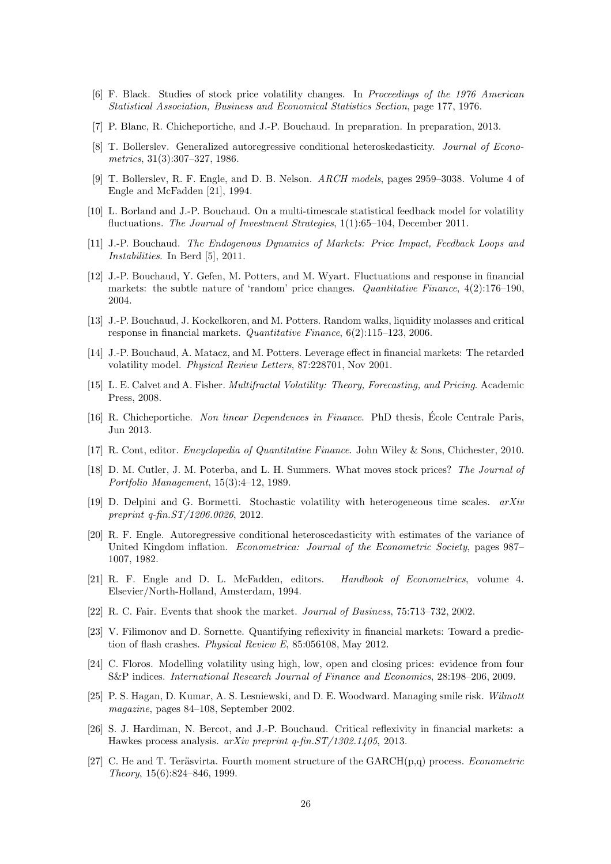- [6] F. Black. Studies of stock price volatility changes. In Proceedings of the 1976 American Statistical Association, Business and Economical Statistics Section, page 177, 1976.
- [7] P. Blanc, R. Chicheportiche, and J.-P. Bouchaud. In preparation. In preparation, 2013.
- [8] T. Bollerslev. Generalized autoregressive conditional heteroskedasticity. Journal of Econometrics, 31(3):307–327, 1986.
- [9] T. Bollerslev, R. F. Engle, and D. B. Nelson. ARCH models, pages 2959–3038. Volume 4 of Engle and McFadden [21], 1994.
- [10] L. Borland and J.-P. Bouchaud. On a multi-timescale statistical feedback model for volatility fluctuations. The Journal of Investment Strategies, 1(1):65–104, December 2011.
- [11] J.-P. Bouchaud. The Endogenous Dynamics of Markets: Price Impact, Feedback Loops and Instabilities. In Berd [5], 2011.
- [12] J.-P. Bouchaud, Y. Gefen, M. Potters, and M. Wyart. Fluctuations and response in financial markets: the subtle nature of 'random' price changes. *Quantitative Finance*,  $4(2):176-190$ , 2004.
- [13] J.-P. Bouchaud, J. Kockelkoren, and M. Potters. Random walks, liquidity molasses and critical response in financial markets. Quantitative Finance, 6(2):115–123, 2006.
- [14] J.-P. Bouchaud, A. Matacz, and M. Potters. Leverage effect in financial markets: The retarded volatility model. Physical Review Letters, 87:228701, Nov 2001.
- [15] L. E. Calvet and A. Fisher. Multifractal Volatility: Theory, Forecasting, and Pricing. Academic Press, 2008.
- [16] R. Chicheportiche. Non linear Dependences in Finance. PhD thesis, Ecole Centrale Paris, ´ Jun 2013.
- [17] R. Cont, editor. Encyclopedia of Quantitative Finance. John Wiley & Sons, Chichester, 2010.
- [18] D. M. Cutler, J. M. Poterba, and L. H. Summers. What moves stock prices? The Journal of Portfolio Management, 15(3):4–12, 1989.
- [19] D. Delpini and G. Bormetti. Stochastic volatility with heterogeneous time scales.  $arXiv$ preprint q-fin.ST/1206.0026, 2012.
- [20] R. F. Engle. Autoregressive conditional heteroscedasticity with estimates of the variance of United Kingdom inflation. Econometrica: Journal of the Econometric Society, pages 987– 1007, 1982.
- [21] R. F. Engle and D. L. McFadden, editors. Handbook of Econometrics, volume 4. Elsevier/North-Holland, Amsterdam, 1994.
- [22] R. C. Fair. Events that shook the market. Journal of Business, 75:713–732, 2002.
- [23] V. Filimonov and D. Sornette. Quantifying reflexivity in financial markets: Toward a prediction of flash crashes. Physical Review E, 85:056108, May 2012.
- [24] C. Floros. Modelling volatility using high, low, open and closing prices: evidence from four S&P indices. International Research Journal of Finance and Economics, 28:198–206, 2009.
- [25] P. S. Hagan, D. Kumar, A. S. Lesniewski, and D. E. Woodward. Managing smile risk. Wilmott magazine, pages 84–108, September 2002.
- [26] S. J. Hardiman, N. Bercot, and J.-P. Bouchaud. Critical reflexivity in financial markets: a Hawkes process analysis. arXiv preprint q-fin.ST/1302.1405, 2013.
- [27] C. He and T. Teräsvirta. Fourth moment structure of the  $GARCH(p,q)$  process. *Econometric* Theory, 15(6):824–846, 1999.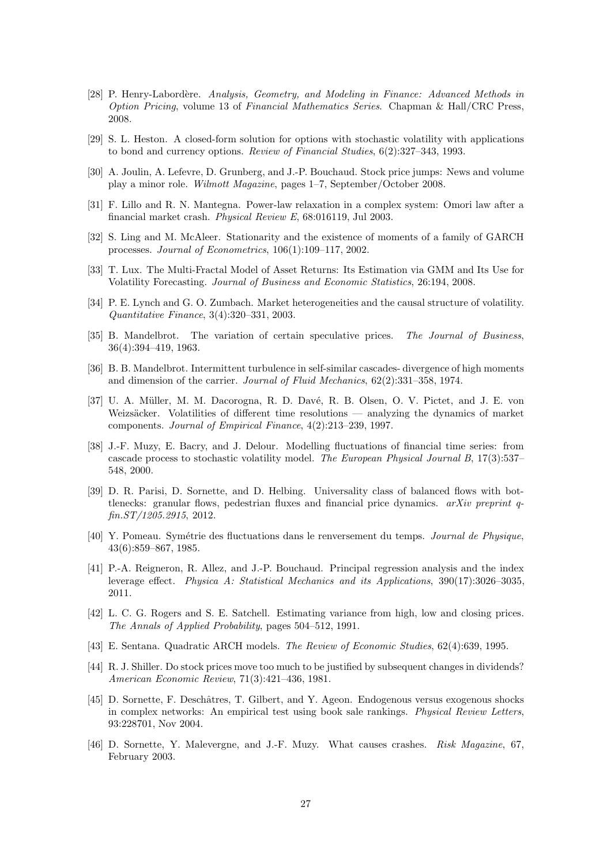- [28] P. Henry-Labordère. Analysis, Geometry, and Modeling in Finance: Advanced Methods in Option Pricing, volume 13 of Financial Mathematics Series. Chapman & Hall/CRC Press, 2008.
- [29] S. L. Heston. A closed-form solution for options with stochastic volatility with applications to bond and currency options. Review of Financial Studies, 6(2):327–343, 1993.
- [30] A. Joulin, A. Lefevre, D. Grunberg, and J.-P. Bouchaud. Stock price jumps: News and volume play a minor role. Wilmott Magazine, pages 1–7, September/October 2008.
- [31] F. Lillo and R. N. Mantegna. Power-law relaxation in a complex system: Omori law after a financial market crash. Physical Review E, 68:016119, Jul 2003.
- [32] S. Ling and M. McAleer. Stationarity and the existence of moments of a family of GARCH processes. Journal of Econometrics, 106(1):109–117, 2002.
- [33] T. Lux. The Multi-Fractal Model of Asset Returns: Its Estimation via GMM and Its Use for Volatility Forecasting. Journal of Business and Economic Statistics, 26:194, 2008.
- [34] P. E. Lynch and G. O. Zumbach. Market heterogeneities and the causal structure of volatility. Quantitative Finance, 3(4):320–331, 2003.
- [35] B. Mandelbrot. The variation of certain speculative prices. The Journal of Business, 36(4):394–419, 1963.
- [36] B. B. Mandelbrot. Intermittent turbulence in self-similar cascades- divergence of high moments and dimension of the carrier. Journal of Fluid Mechanics, 62(2):331–358, 1974.
- [37] U. A. Müller, M. M. Dacorogna, R. D. Davé, R. B. Olsen, O. V. Pictet, and J. E. von Weizsäcker. Volatilities of different time resolutions — analyzing the dynamics of market components. Journal of Empirical Finance, 4(2):213–239, 1997.
- [38] J.-F. Muzy, E. Bacry, and J. Delour. Modelling fluctuations of financial time series: from cascade process to stochastic volatility model. The European Physical Journal B, 17(3):537– 548, 2000.
- [39] D. R. Parisi, D. Sornette, and D. Helbing. Universality class of balanced flows with bottlenecks: granular flows, pedestrian fluxes and financial price dynamics.  $arXiv$  preprint qfin.ST/1205.2915, 2012.
- [40] Y. Pomeau. Symétrie des fluctuations dans le renversement du temps. *Journal de Physique*, 43(6):859–867, 1985.
- [41] P.-A. Reigneron, R. Allez, and J.-P. Bouchaud. Principal regression analysis and the index leverage effect. Physica A: Statistical Mechanics and its Applications, 390(17):3026–3035, 2011.
- [42] L. C. G. Rogers and S. E. Satchell. Estimating variance from high, low and closing prices. The Annals of Applied Probability, pages 504–512, 1991.
- [43] E. Sentana. Quadratic ARCH models. The Review of Economic Studies, 62(4):639, 1995.
- [44] R. J. Shiller. Do stock prices move too much to be justified by subsequent changes in dividends? American Economic Review, 71(3):421–436, 1981.
- [45] D. Sornette, F. Deschâtres, T. Gilbert, and Y. Ageon. Endogenous versus exogenous shocks in complex networks: An empirical test using book sale rankings. Physical Review Letters, 93:228701, Nov 2004.
- [46] D. Sornette, Y. Malevergne, and J.-F. Muzy. What causes crashes. Risk Magazine, 67, February 2003.